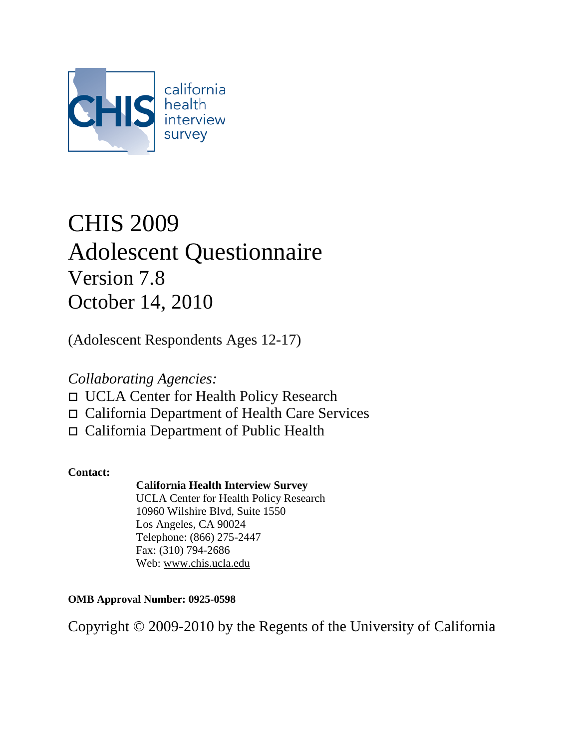

# CHIS 2009 Adolescent Questionnaire Version 7.8 October 14, 2010

(Adolescent Respondents Ages 12-17)

## *Collaborating Agencies:*

- UCLA Center for Health Policy Research
- California Department of Health Care Services
- California Department of Public Health

## **Contact:**

## **California Health Interview Survey**

UCLA Center for Health Policy Research 10960 Wilshire Blvd, Suite 1550 Los Angeles, CA 90024 Telephone: (866) 275-2447 Fax: (310) 794-2686 Web: [www.chis.ucla.edu](http://www.chis.ucla.edu/)

**OMB Approval Number: 0925-0598** 

Copyright © 2009-2010 by the Regents of the University of California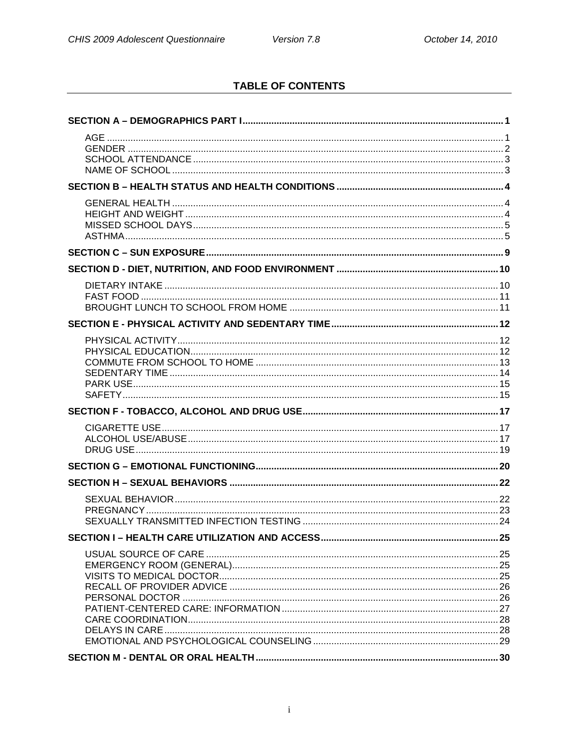## **TABLE OF CONTENTS**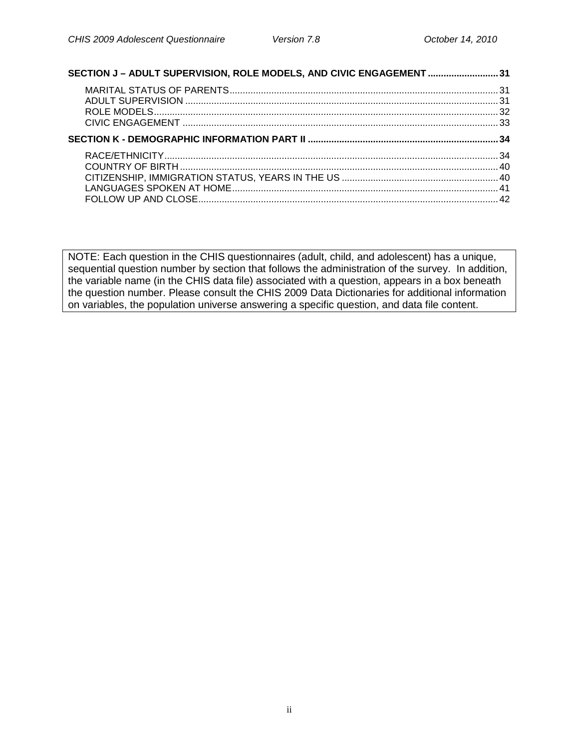| SECTION J - ADULT SUPERVISION, ROLE MODELS, AND CIVIC ENGAGEMENT  31 |  |
|----------------------------------------------------------------------|--|
|                                                                      |  |
|                                                                      |  |
|                                                                      |  |
|                                                                      |  |
|                                                                      |  |
|                                                                      |  |
|                                                                      |  |
|                                                                      |  |
|                                                                      |  |
|                                                                      |  |

NOTE: Each question in the CHIS questionnaires (adult, child, and adolescent) has a unique, sequential question number by section that follows the administration of the survey. In addition, the variable name (in the CHIS data file) associated with a question, appears in a box beneath the question number. Please consult the CHIS 2009 Data Dictionaries for additional information on variables, the population universe answering a specific question, and data file content.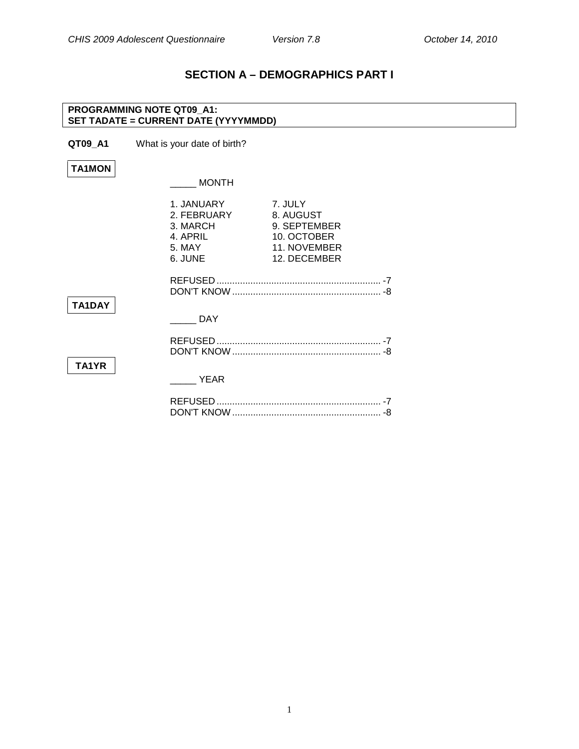## **SECTION A – DEMOGRAPHICS PART I**

#### **PROGRAMMING NOTE QT09\_A1: SET TADATE = CURRENT DATE (YYYYMMDD)**

**QT09\_A1** What is your date of birth?

**TA1MON**

<span id="page-3-1"></span><span id="page-3-0"></span>**Age**

 $\_$  MONTH

|        | 1. JANUARY<br>2. FEBRUARY<br>3. MARCH<br>4. APRIL<br>5. MAY<br>6. JUNE | 7. JULY<br>8. AUGUST<br>9. SEPTEMBER<br>10. OCTOBER<br>11. NOVEMBER<br>12. DECEMBER |  |
|--------|------------------------------------------------------------------------|-------------------------------------------------------------------------------------|--|
| TA1DAY |                                                                        |                                                                                     |  |
|        | DAY                                                                    |                                                                                     |  |
| TA1YR  |                                                                        |                                                                                     |  |
|        | <b>YEAR</b>                                                            |                                                                                     |  |
|        |                                                                        |                                                                                     |  |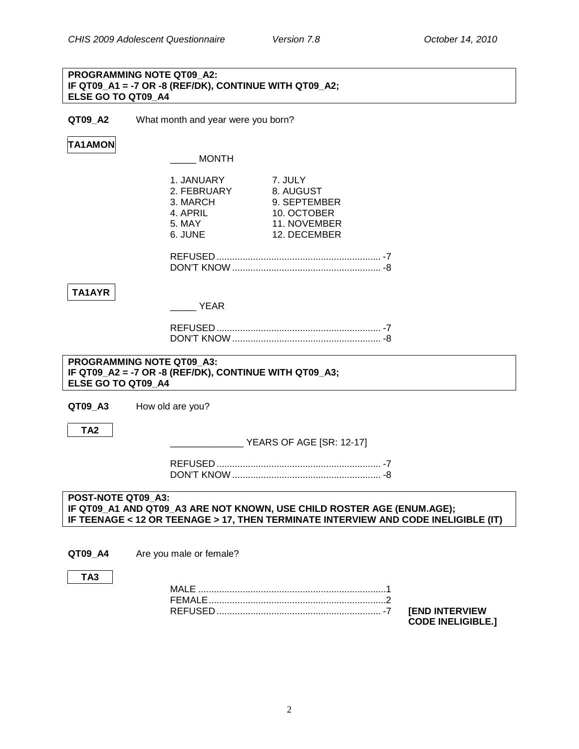#### **PROGRAMMING NOTE QT09\_A2: IF QT09\_A1 = -7 OR -8 (REF/DK), CONTINUE WITH QT09\_A2; ELSE GO TO QT09\_A4**

**QT09\_A2** What month and year were you born?

### **TA1AMON**

\_\_\_\_\_ MONTH

|                                                 | 1. JANUARY<br>2. FEBRUARY<br>3. MARCH<br>4. APRIL<br>5. MAY | 7. JULY<br>8. AUGUST<br>9. SEPTEMBER<br>10. OCTOBER<br>11. NOVEMBER    |                                                                                    |
|-------------------------------------------------|-------------------------------------------------------------|------------------------------------------------------------------------|------------------------------------------------------------------------------------|
|                                                 | 6. JUNE                                                     | 12. DECEMBER                                                           |                                                                                    |
|                                                 |                                                             |                                                                        |                                                                                    |
| TA1AYR                                          | <b>YEAR</b>                                                 |                                                                        |                                                                                    |
|                                                 |                                                             |                                                                        |                                                                                    |
|                                                 |                                                             |                                                                        |                                                                                    |
| PROGRAMMING NOTE QT09 A3:<br>ELSE GO TO QT09 A4 | IF QT09_A2 = -7 OR -8 (REF/DK), CONTINUE WITH QT09_A3;      |                                                                        |                                                                                    |
| QT09_A3                                         | How old are you?                                            |                                                                        |                                                                                    |
| TA <sub>2</sub>                                 |                                                             | YEARS OF AGE [SR: 12-17]                                               |                                                                                    |
|                                                 |                                                             |                                                                        |                                                                                    |
|                                                 |                                                             |                                                                        |                                                                                    |
| POST-NOTE QT09 A3:                              |                                                             | IF QT09_A1 AND QT09_A3 ARE NOT KNOWN, USE CHILD ROSTER AGE (ENUM.AGE); | IF TEENAGE < 12 OR TEENAGE > 17, THEN TERMINATE INTERVIEW AND CODE INELIGIBLE (IT) |
|                                                 |                                                             |                                                                        |                                                                                    |
| QT09 A4                                         | Are you male or female?                                     |                                                                        |                                                                                    |
| TA <sub>3</sub>                                 |                                                             |                                                                        |                                                                                    |
|                                                 |                                                             |                                                                        |                                                                                    |

<span id="page-4-0"></span>REFUSED ............................................................... -7 **[END INTERVIEW** 

**CODE INELIGIBLE.]**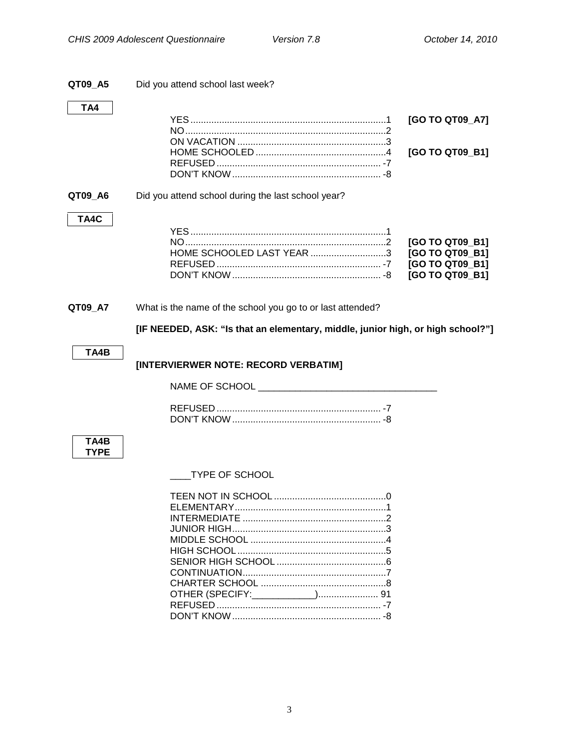<span id="page-5-1"></span><span id="page-5-0"></span>

| QT09_A5     | Did you attend school last week?                                                |                                                                          |
|-------------|---------------------------------------------------------------------------------|--------------------------------------------------------------------------|
| TA4         |                                                                                 | [GO TO QT09_A7]<br>[GO TO QT09_B1]                                       |
| QT09_A6     | Did you attend school during the last school year?                              |                                                                          |
| TA4C        | HOME SCHOOLED LAST YEAR 3                                                       | [GO TO QT09_B1]<br>[GO TO QT09_B1]<br>[GO TO QT09_B1]<br>[GO TO QT09_B1] |
| QT09_A7     | What is the name of the school you go to or last attended?                      |                                                                          |
|             | [IF NEEDED, ASK: "Is that an elementary, middle, junior high, or high school?"] |                                                                          |
| TA4B        | [INTERVIERWER NOTE: RECORD VERBATIM]                                            |                                                                          |
|             |                                                                                 |                                                                          |
| TA4B        |                                                                                 |                                                                          |
| <b>TYPE</b> | <b>TYPE OF SCHOOL</b>                                                           |                                                                          |
|             |                                                                                 |                                                                          |

DON'T KNOW......................................................... -8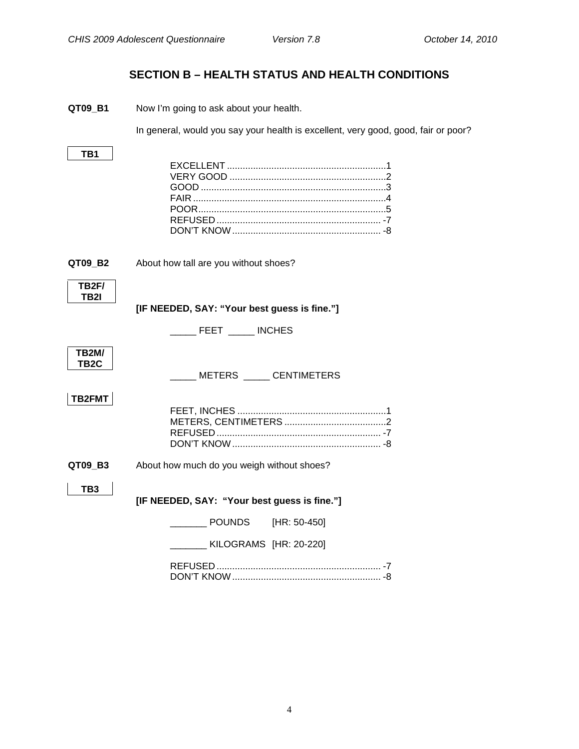## **SECTION B – HEALTH STATUS AND HEALTH CONDITIONS**

<span id="page-6-1"></span><span id="page-6-0"></span>**QT09\_B1** Now I'm going to ask about your health.

In general, would you say your health is excellent, very good, good, fair or poor?

**TB1**

<span id="page-6-2"></span>**QT09\_B2** About how tall are you without shoes?



**[IF NEEDED, SAY: "Your best guess is fine."]**

|  | <b>INCHES</b> |
|--|---------------|
|  |               |

| <b>TB2M/</b><br>TB2C |                                              |  |
|----------------------|----------------------------------------------|--|
|                      | METERS CENTIMETERS                           |  |
| TB2FMT               |                                              |  |
| QT09_B3              | About how much do you weigh without shoes?   |  |
| TB3                  | [IF NEEDED, SAY: "Your best guess is fine."] |  |
|                      | POUNDS [HR: 50-450]                          |  |
|                      | KILOGRAMS [HR: 20-220]                       |  |
|                      |                                              |  |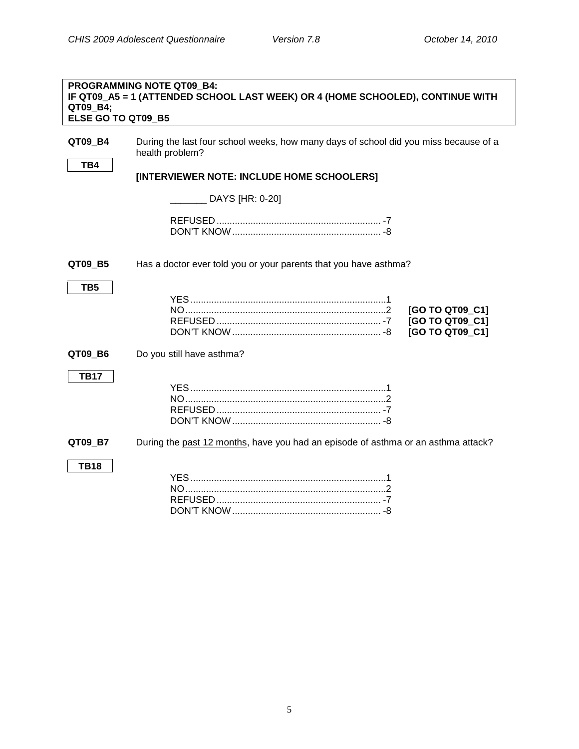<span id="page-7-0"></span>**Missed School Days**

<span id="page-7-1"></span>

| QT09 B4;<br>ELSE GO TO QT09 B5 | <b>PROGRAMMING NOTE QT09 B4:</b><br>IF QT09_A5 = 1 (ATTENDED SCHOOL LAST WEEK) OR 4 (HOME SCHOOLED), CONTINUE WITH |
|--------------------------------|--------------------------------------------------------------------------------------------------------------------|
| QT09 B4<br>TB4                 | During the last four school weeks, how many days of school did you miss because of a<br>health problem?            |
|                                | [INTERVIEWER NOTE: INCLUDE HOME SCHOOLERS]                                                                         |
|                                | DAYS [HR: 0-20]                                                                                                    |
|                                |                                                                                                                    |
| QT09_B5                        | Has a doctor ever told you or your parents that you have asthma?                                                   |
| TB <sub>5</sub>                | [GO TO QT09_C1]<br>[GO TO QT09_C1]<br>[GO TO QT09_C1]                                                              |
| QT09_B6                        | Do you still have asthma?                                                                                          |
| <b>TB17</b>                    |                                                                                                                    |
| QT09 B7                        | During the past 12 months, have you had an episode of asthma or an asthma attack?                                  |
| <b>TB18</b>                    |                                                                                                                    |

5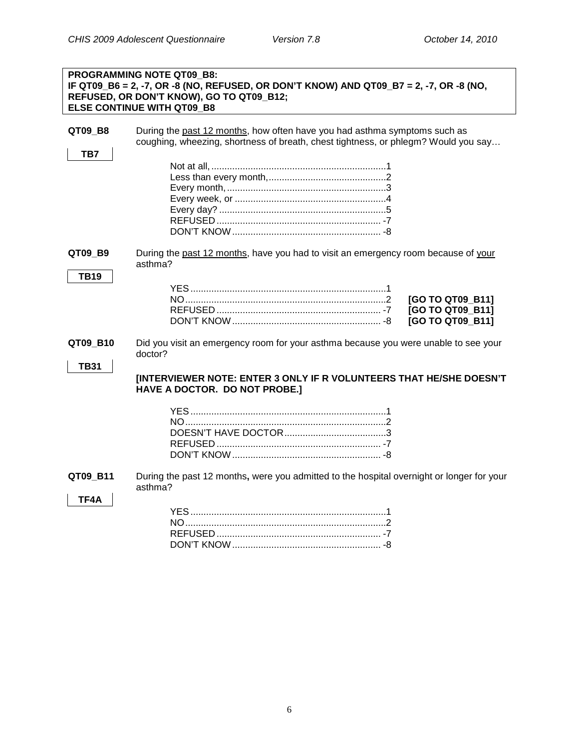|                         | <b>PROGRAMMING NOTE QT09 B8:</b><br>IF QT09_B6 = 2, -7, OR -8 (NO, REFUSED, OR DON'T KNOW) AND QT09_B7 = 2, -7, OR -8 (NO,<br>REFUSED, OR DON'T KNOW), GO TO QT09_B12;<br><b>ELSE CONTINUE WITH QT09 B8</b> |
|-------------------------|-------------------------------------------------------------------------------------------------------------------------------------------------------------------------------------------------------------|
| QT09_B8<br>TB7          | During the past 12 months, how often have you had asthma symptoms such as<br>coughing, wheezing, shortness of breath, chest tightness, or phlegm? Would you say                                             |
|                         |                                                                                                                                                                                                             |
| QT09_B9<br><b>TB19</b>  | During the past 12 months, have you had to visit an emergency room because of your<br>asthma?<br>[GO TO QT09 B11]<br>[GO TO QT09_B11]<br>[GO TO QT09_B11]                                                   |
| QT09_B10<br><b>TB31</b> | Did you visit an emergency room for your asthma because you were unable to see your<br>doctor?                                                                                                              |
|                         | [INTERVIEWER NOTE: ENTER 3 ONLY IF R VOLUNTEERS THAT HE/SHE DOESN'T<br>HAVE A DOCTOR. DO NOT PROBE.]                                                                                                        |
| QT09_B11<br>TF4A        | During the past 12 months, were you admitted to the hospital overnight or longer for your<br>asthma?                                                                                                        |

DON'T KNOW......................................................... -8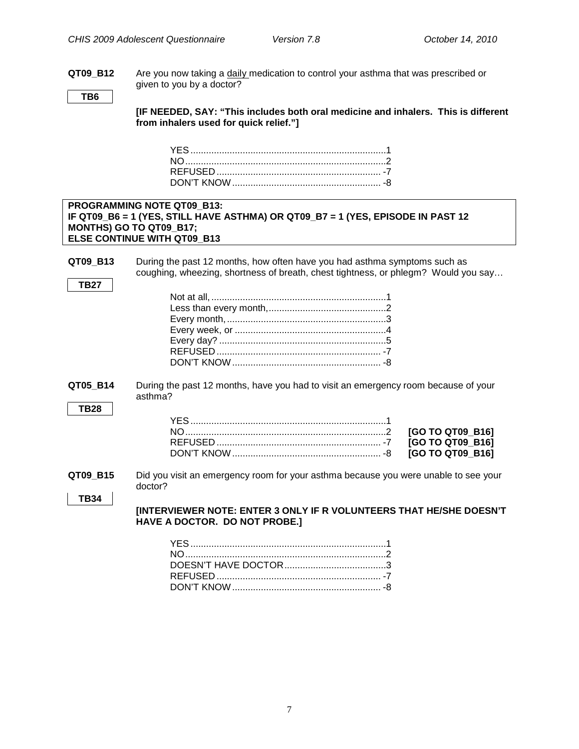NO.............................................................................2 **[GO TO QT09\_B16]** REFUSED ............................................................... -7 **[GO TO QT09\_B16]** QT09 B16]

**QT09\_B12** Are you now taking a <u>daily m</u>edication to control your asthma that was prescribed or given to you by a doctor?

**TB6**

**[IF NEEDED, SAY: "This includes both oral medicine and inhalers. This is different from inhalers used for quick relief."]**

#### **PROGRAMMING NOTE QT09\_B13: IF QT09\_B6 = 1 (YES, STILL HAVE ASTHMA) OR QT09\_B7 = 1 (YES, EPISODE IN PAST 12 MONTHS) GO TO QT09\_B17; ELSE CONTINUE WITH QT09\_B13**

**QT09 B13** During the past 12 months, how often have you had asthma symptoms such as coughing, wheezing, shortness of breath, chest tightness, or phlegm? Would you say…

**QT05\_B14** During the past 12 months, have you had to visit an emergency room because of your asthma?

**TB27**

**QT09\_B15** Did you visit an emergency room for your asthma because you were unable to see your doctor?

```
TB34
```
**[INTERVIEWER NOTE: ENTER 3 ONLY IF R VOLUNTEERS THAT HE/SHE DOESN'T HAVE A DOCTOR. DO NOT PROBE.]**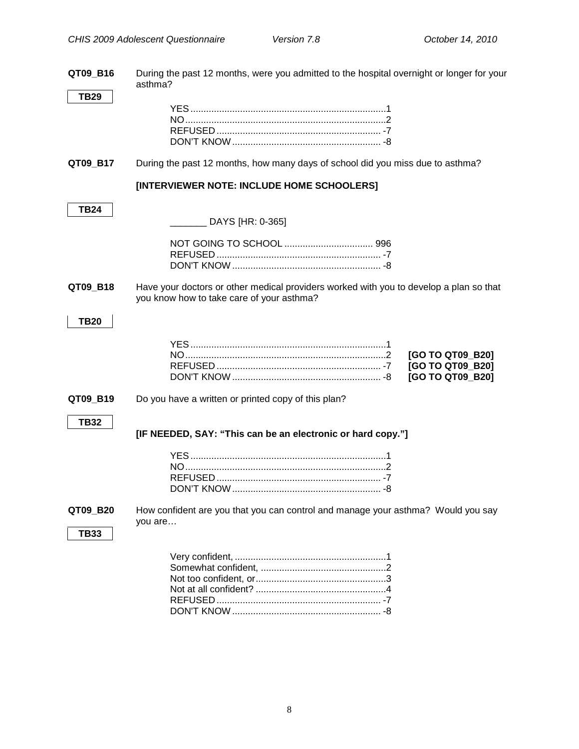| QT09_B16    | During the past 12 months, were you admitted to the hospital overnight or longer for your<br>asthma?                                |
|-------------|-------------------------------------------------------------------------------------------------------------------------------------|
| <b>TB29</b> |                                                                                                                                     |
| QT09_B17    | During the past 12 months, how many days of school did you miss due to asthma?                                                      |
|             | [INTERVIEWER NOTE: INCLUDE HOME SCHOOLERS]                                                                                          |
| <b>TB24</b> | _______ DAYS [HR: 0-365]                                                                                                            |
|             |                                                                                                                                     |
| QT09 B18    | Have your doctors or other medical providers worked with you to develop a plan so that<br>you know how to take care of your asthma? |
| <b>TB20</b> |                                                                                                                                     |
|             | [GO TO QT09_B20]<br>[GO TO QT09_B20]<br>[GO TO QT09_B20]                                                                            |
| QT09_B19    | Do you have a written or printed copy of this plan?                                                                                 |
| <b>TB32</b> | [IF NEEDED, SAY: "This can be an electronic or hard copy."]                                                                         |
|             |                                                                                                                                     |
| QT09_B20    | How confident are you that you can control and manage your asthma? Would you say<br>you are                                         |
| <b>TB33</b> |                                                                                                                                     |
|             |                                                                                                                                     |

<span id="page-10-0"></span>DON'T KNOW ......................................................... -8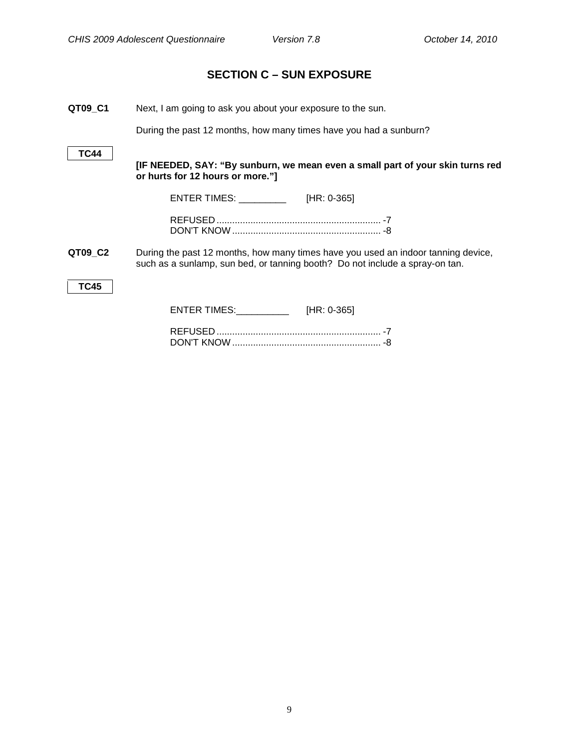## <span id="page-11-0"></span>**[SECTION C –](#page-10-0) SUN EXPOSURE**

**QT09\_C1** Next, I am going to ask you about your exposure to the sun.

During the past 12 months, how many times have you had a sunburn?

**TC44**

**[IF NEEDED, SAY: "By sunburn, we mean even a small part of your skin turns red or hurts for 12 hours or more."]**

ENTER TIMES: \_\_\_\_\_\_\_\_\_ [HR: 0-365]

**QT09\_C2** During the past 12 months, how many times have you used an indoor tanning device, such as a sunlamp, sun bed, or tanning booth? Do not include a spray-on tan.

**TC45**

| ENTER TIMES: | $[HR: 0-365]$ |
|--------------|---------------|
|--------------|---------------|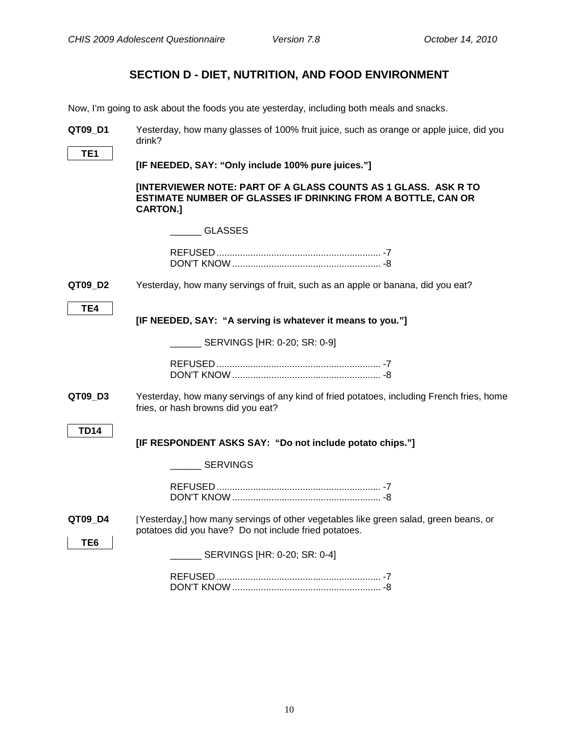## **SECTION D - DIET, NUTRITION, AND FOOD ENVIRONMENT**

<span id="page-12-1"></span><span id="page-12-0"></span>Now, I'm going to ask about the foods you ate yesterday, including both meals and snacks.

| QT09 D1     | Yesterday, how many glasses of 100% fruit juice, such as orange or apple juice, did you<br>drink?                                                 |
|-------------|---------------------------------------------------------------------------------------------------------------------------------------------------|
| TE1         | [IF NEEDED, SAY: "Only include 100% pure juices."]                                                                                                |
|             | [INTERVIEWER NOTE: PART OF A GLASS COUNTS AS 1 GLASS. ASK R TO<br>ESTIMATE NUMBER OF GLASSES IF DRINKING FROM A BOTTLE, CAN OR<br><b>CARTON.]</b> |
|             | <b>GLASSES</b>                                                                                                                                    |
|             |                                                                                                                                                   |
| QT09_D2     | Yesterday, how many servings of fruit, such as an apple or banana, did you eat?                                                                   |
| TE4         | [IF NEEDED, SAY: "A serving is whatever it means to you."]                                                                                        |
|             | SERVINGS [HR: 0-20; SR: 0-9]                                                                                                                      |
|             |                                                                                                                                                   |
| QT09_D3     | Yesterday, how many servings of any kind of fried potatoes, including French fries, home<br>fries, or hash browns did you eat?                    |
| <b>TD14</b> | [IF RESPONDENT ASKS SAY: "Do not include potato chips."]                                                                                          |
|             | <b>SERVINGS</b>                                                                                                                                   |
|             |                                                                                                                                                   |
| QT09 D4     | [Yesterday,] how many servings of other vegetables like green salad, green beans, or<br>potatoes did you have? Do not include fried potatoes.     |
| TE6         | ____ SERVINGS [HR: 0-20; SR: 0-4]                                                                                                                 |
|             |                                                                                                                                                   |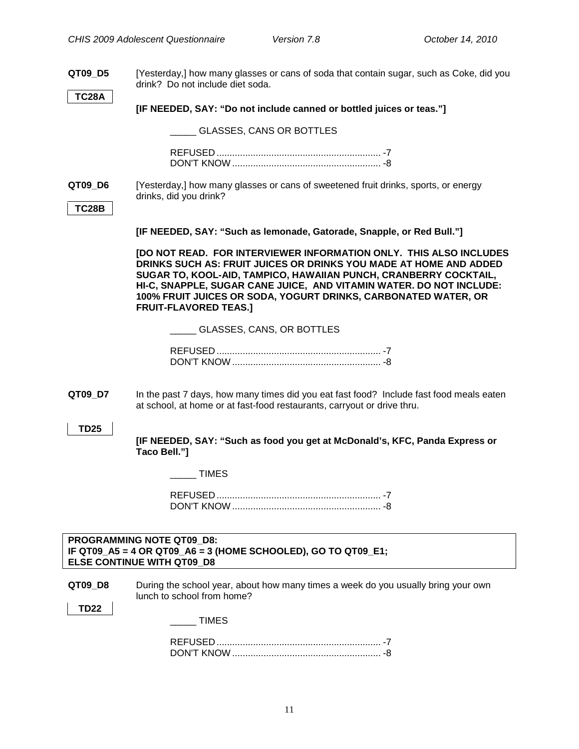**QT09\_D5** [Yesterday,] how many glasses or cans of soda that contain sugar, such as Coke, did you drink? Do not include diet soda.

**TC28A**

**[IF NEEDED, SAY: "Do not include canned or bottled juices or teas."]**

\_\_\_\_\_ GLASSES, CANS OR BOTTLES

**QT09 D6** [Yesterday,] how many glasses or cans of sweetened fruit drinks, sports, or energy drinks, did you drink?

#### **TC28B**

**[IF NEEDED, SAY: "Such as lemonade, Gatorade, Snapple, or Red Bull."]**

**[DO NOT READ. FOR INTERVIEWER INFORMATION ONLY. THIS ALSO INCLUDES DRINKS SUCH AS: FRUIT JUICES OR DRINKS YOU MADE AT HOME AND ADDED SUGAR TO, KOOL-AID, TAMPICO, HAWAIIAN PUNCH, CRANBERRY COCKTAIL, HI-C, SNAPPLE, SUGAR CANE JUICE, AND VITAMIN WATER. DO NOT INCLUDE: 100% FRUIT JUICES OR SODA, YOGURT DRINKS, CARBONATED WATER, OR FRUIT-FLAVORED TEAS.]**

\_\_\_\_\_ GLASSES, CANS, OR BOTTLES

<span id="page-13-0"></span>**QT09 D7** In the past 7 days, how many times did you eat fast food? Include fast food meals eaten at school, at home or at fast-food restaurants, carryout or drive thru.

**TD25**

**[IF NEEDED, SAY: "Such as food you get at McDonald's, KFC, Panda Express or Taco Bell."]**

\_\_\_\_\_ TIMES

#### <span id="page-13-1"></span>**PROGRAMMING NOTE QT09\_D8: IF QT09\_A5 = 4 OR QT09\_A6 = 3 (HOME SCHOOLED), GO TO QT09\_E1; ELSE CONTINUE WITH QT09\_D8**

**QT09 D8** During the school year, about how many times a week do you usually bring your own lunch to school from home?

**TD22**

\_\_\_\_\_ TIMES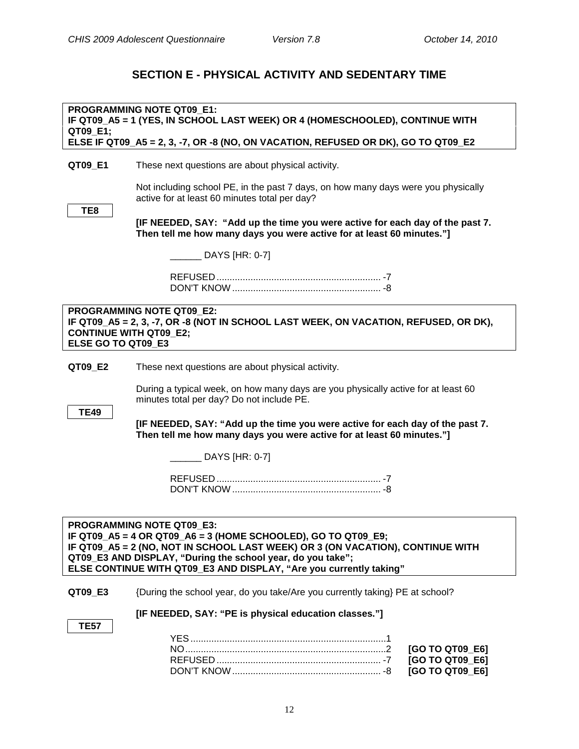## **SECTION E - PHYSICAL ACTIVITY AND SEDENTARY TIME**

<span id="page-14-2"></span><span id="page-14-1"></span><span id="page-14-0"></span>

| QT09_E1;                                                                                                                                                                                                                                                                                                                 | PROGRAMMING NOTE QT09 E1:<br>IF QT09_A5 = 1 (YES, IN SCHOOL LAST WEEK) OR 4 (HOMESCHOOLED), CONTINUE WITH<br>ELSE IF QT09_A5 = 2, 3, -7, OR -8 (NO, ON VACATION, REFUSED OR DK), GO TO QT09_E2 |
|--------------------------------------------------------------------------------------------------------------------------------------------------------------------------------------------------------------------------------------------------------------------------------------------------------------------------|------------------------------------------------------------------------------------------------------------------------------------------------------------------------------------------------|
| QT09_E1                                                                                                                                                                                                                                                                                                                  | These next questions are about physical activity.                                                                                                                                              |
|                                                                                                                                                                                                                                                                                                                          | Not including school PE, in the past 7 days, on how many days were you physically<br>active for at least 60 minutes total per day?                                                             |
| TE8                                                                                                                                                                                                                                                                                                                      | [IF NEEDED, SAY: "Add up the time you were active for each day of the past 7.<br>Then tell me how many days you were active for at least 60 minutes."]                                         |
|                                                                                                                                                                                                                                                                                                                          | $\sqrt{2}$ DAYS [HR: 0-7]                                                                                                                                                                      |
|                                                                                                                                                                                                                                                                                                                          |                                                                                                                                                                                                |
| <b>CONTINUE WITH QT09 E2;</b><br>ELSE GO TO QT09 E3                                                                                                                                                                                                                                                                      | <b>PROGRAMMING NOTE QT09 E2:</b><br>IF QT09_A5 = 2, 3, -7, OR -8 (NOT IN SCHOOL LAST WEEK, ON VACATION, REFUSED, OR DK),                                                                       |
| QT09_E2                                                                                                                                                                                                                                                                                                                  | These next questions are about physical activity.                                                                                                                                              |
|                                                                                                                                                                                                                                                                                                                          | During a typical week, on how many days are you physically active for at least 60<br>minutes total per day? Do not include PE.                                                                 |
| <b>TE49</b>                                                                                                                                                                                                                                                                                                              | [IF NEEDED, SAY: "Add up the time you were active for each day of the past 7.<br>Then tell me how many days you were active for at least 60 minutes."]                                         |
|                                                                                                                                                                                                                                                                                                                          | ____ DAYS [HR: 0-7]                                                                                                                                                                            |
|                                                                                                                                                                                                                                                                                                                          |                                                                                                                                                                                                |
| <b>PROGRAMMING NOTE QT09 E3:</b><br>IF QT09_A5 = 4 OR QT09_A6 = 3 (HOME SCHOOLED), GO TO QT09_E9;<br>IF QT09_A5 = 2 (NO, NOT IN SCHOOL LAST WEEK) OR 3 (ON VACATION), CONTINUE WITH<br>QT09_E3 AND DISPLAY, "During the school year, do you take";<br>ELSE CONTINUE WITH QT09_E3 AND DISPLAY, "Are you currently taking" |                                                                                                                                                                                                |
| QT09_E3                                                                                                                                                                                                                                                                                                                  | {During the school year, do you take/Are you currently taking} PE at school?                                                                                                                   |
| <b>TE57</b>                                                                                                                                                                                                                                                                                                              | [IF NEEDED, SAY: "PE is physical education classes."]                                                                                                                                          |
|                                                                                                                                                                                                                                                                                                                          | [GO TO QT09_E6]<br>[GO TO QT09_E6]<br>[GO TO QT09_E6]                                                                                                                                          |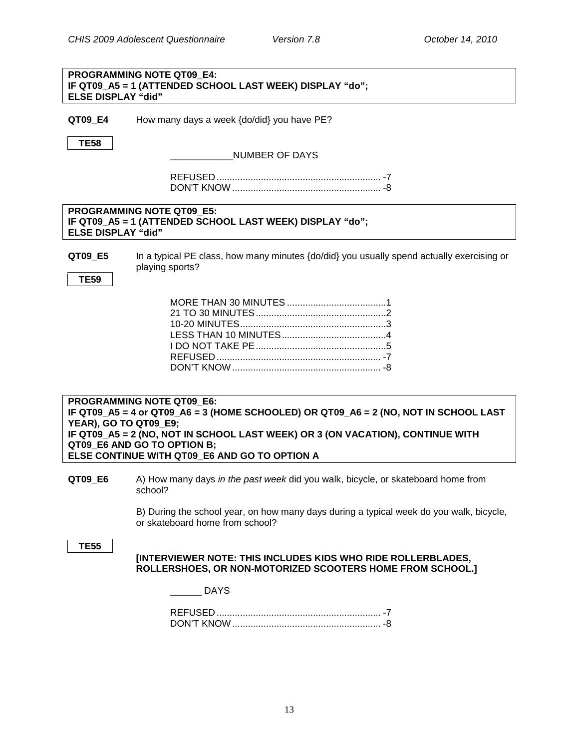<span id="page-15-0"></span>

| <b>PROGRAMMING NOTE QT09 E4:</b>                                                                                                                                                                                                                                                                                           |                                                                                                                                                                                                                                                                                    |  |
|----------------------------------------------------------------------------------------------------------------------------------------------------------------------------------------------------------------------------------------------------------------------------------------------------------------------------|------------------------------------------------------------------------------------------------------------------------------------------------------------------------------------------------------------------------------------------------------------------------------------|--|
|                                                                                                                                                                                                                                                                                                                            |                                                                                                                                                                                                                                                                                    |  |
|                                                                                                                                                                                                                                                                                                                            |                                                                                                                                                                                                                                                                                    |  |
|                                                                                                                                                                                                                                                                                                                            |                                                                                                                                                                                                                                                                                    |  |
|                                                                                                                                                                                                                                                                                                                            |                                                                                                                                                                                                                                                                                    |  |
|                                                                                                                                                                                                                                                                                                                            |                                                                                                                                                                                                                                                                                    |  |
| playing sports?                                                                                                                                                                                                                                                                                                            | In a typical PE class, how many minutes {do/did} you usually spend actually exercising or                                                                                                                                                                                          |  |
|                                                                                                                                                                                                                                                                                                                            |                                                                                                                                                                                                                                                                                    |  |
|                                                                                                                                                                                                                                                                                                                            |                                                                                                                                                                                                                                                                                    |  |
|                                                                                                                                                                                                                                                                                                                            |                                                                                                                                                                                                                                                                                    |  |
|                                                                                                                                                                                                                                                                                                                            |                                                                                                                                                                                                                                                                                    |  |
|                                                                                                                                                                                                                                                                                                                            |                                                                                                                                                                                                                                                                                    |  |
|                                                                                                                                                                                                                                                                                                                            |                                                                                                                                                                                                                                                                                    |  |
|                                                                                                                                                                                                                                                                                                                            |                                                                                                                                                                                                                                                                                    |  |
| <b>PROGRAMMING NOTE QT09 E6:</b><br>IF QT09_A5 = 4 or QT09_A6 = 3 (HOME SCHOOLED) OR QT09_A6 = 2 (NO, NOT IN SCHOOL LAST<br><b>YEAR), GO TO QT09_E9;</b><br>IF QT09_A5 = 2 (NO, NOT IN SCHOOL LAST WEEK) OR 3 (ON VACATION), CONTINUE WITH<br>QT09_E6 AND GO TO OPTION B;<br>ELSE CONTINUE WITH QT09 E6 AND GO TO OPTION A |                                                                                                                                                                                                                                                                                    |  |
|                                                                                                                                                                                                                                                                                                                            |                                                                                                                                                                                                                                                                                    |  |
| school?                                                                                                                                                                                                                                                                                                                    | A) How many days in the past week did you walk, bicycle, or skateboard home from                                                                                                                                                                                                   |  |
| or skateboard home from school?                                                                                                                                                                                                                                                                                            | B) During the school year, on how many days during a typical week do you walk, bicycle,                                                                                                                                                                                            |  |
|                                                                                                                                                                                                                                                                                                                            | [INTERVIEWER NOTE: THIS INCLUDES KIDS WHO RIDE ROLLERBLADES,<br>ROLLERSHOES, OR NON-MOTORIZED SCOOTERS HOME FROM SCHOOL.]                                                                                                                                                          |  |
| <b>DAYS</b>                                                                                                                                                                                                                                                                                                                |                                                                                                                                                                                                                                                                                    |  |
|                                                                                                                                                                                                                                                                                                                            | IF QT09 A5 = 1 (ATTENDED SCHOOL LAST WEEK) DISPLAY "do";<br><b>ELSE DISPLAY "did"</b><br>How many days a week {do/did} you have PE?<br><b>NUMBER OF DAYS</b><br>PROGRAMMING NOTE QT09 E5:<br>IF QT09_A5 = 1 (ATTENDED SCHOOL LAST WEEK) DISPLAY "do";<br><b>ELSE DISPLAY "did"</b> |  |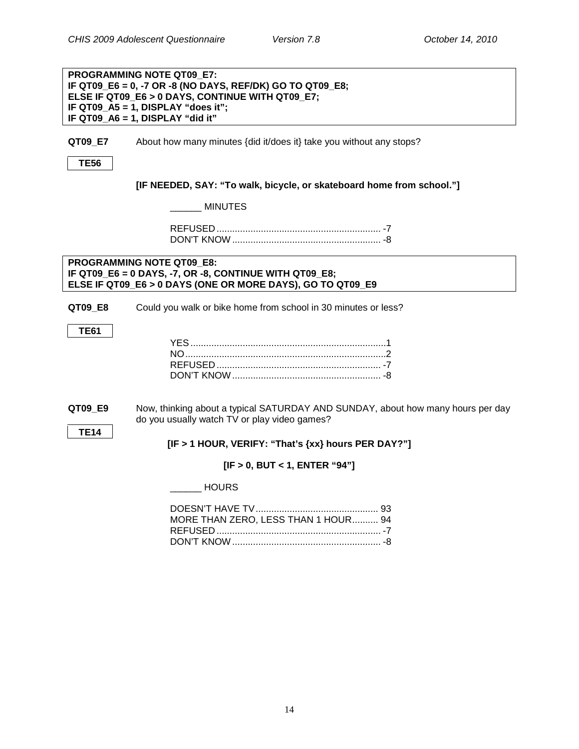#### **PROGRAMMING NOTE QT09\_E7: IF QT09\_E6 = 0, -7 OR -8 (NO DAYS, REF/DK) GO TO QT09\_E8; ELSE IF QT09\_E6 > 0 DAYS, CONTINUE WITH QT09\_E7; IF QT09\_A5 = 1, DISPLAY "does it"; IF QT09\_A6 = 1, DISPLAY "did it"**

**QT09 E7** About how many minutes {did it/does it} take you without any stops?

**TE56**

**[IF NEEDED, SAY: "To walk, bicycle, or skateboard home from school."]**

\_\_\_\_\_\_ MINUTES

REFUSED ............................................................... -7 DON'T KNOW ......................................................... -8

#### **PROGRAMMING NOTE QT09\_E8: IF QT09\_E6 = 0 DAYS, -7, OR -8, CONTINUE WITH QT09\_E8; ELSE IF QT09\_E6 > 0 DAYS (ONE OR MORE DAYS), GO TO QT09\_E9**

**QT09\_E8** Could you walk or bike home from school in 30 minutes or less?

**TE61**

<span id="page-16-0"></span>**QT09\_E9** Now, thinking about a typical SATURDAY AND SUNDAY, about how many hours per day do you usually watch TV or play video games?

**TE14**

**[IF > 1 HOUR, VERIFY: "That's {xx} hours PER DAY?"]**

### **[IF > 0, BUT < 1, ENTER "94"]**

\_\_\_\_\_\_ HOURS

| MORE THAN ZERO, LESS THAN 1 HOUR 94 |  |
|-------------------------------------|--|
|                                     |  |
|                                     |  |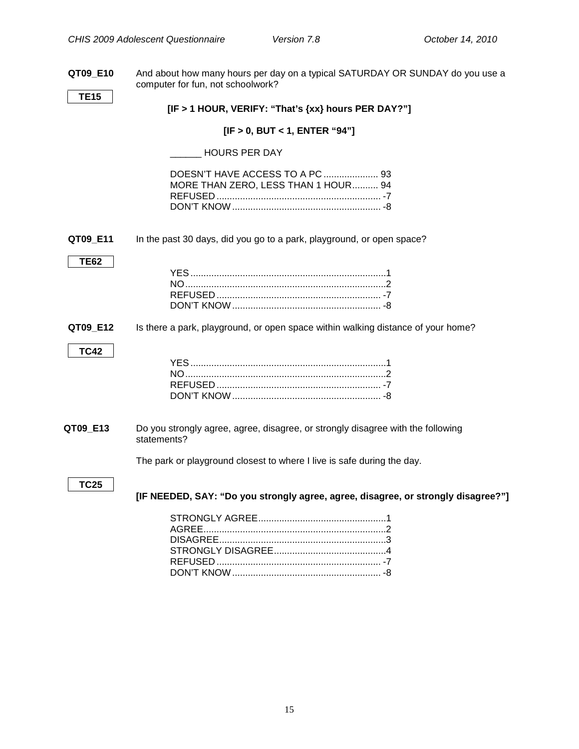**QT09\_E10** And about how many hours per day on a typical SATURDAY OR SUNDAY do you use a computer for fun, not schoolwork?

**TE15**

**[IF > 1 HOUR, VERIFY: "That's {xx} hours PER DAY?"]**

#### **[IF > 0, BUT < 1, ENTER "94"]**

#### \_\_\_\_\_\_ HOURS PER DAY

| MORE THAN ZERO, LESS THAN 1 HOUR 94 |  |
|-------------------------------------|--|
|                                     |  |
|                                     |  |

#### <span id="page-17-0"></span>**QT09 E11** In the past 30 days, did you go to a park, playground, or open space?

#### **TE62**

**TC42**

#### **QT09\_E12** Is there a park, playground, or open space within walking distance of your home?

#### <span id="page-17-1"></span>Do you strongly agree, agree, disagree, or strongly disagree with the following statements? **QT09 E13**

The park or playground closest to where I live is safe during the day.

### **TC25**

**[IF NEEDED, SAY: "Do you strongly agree, agree, disagree, or strongly disagree?"]**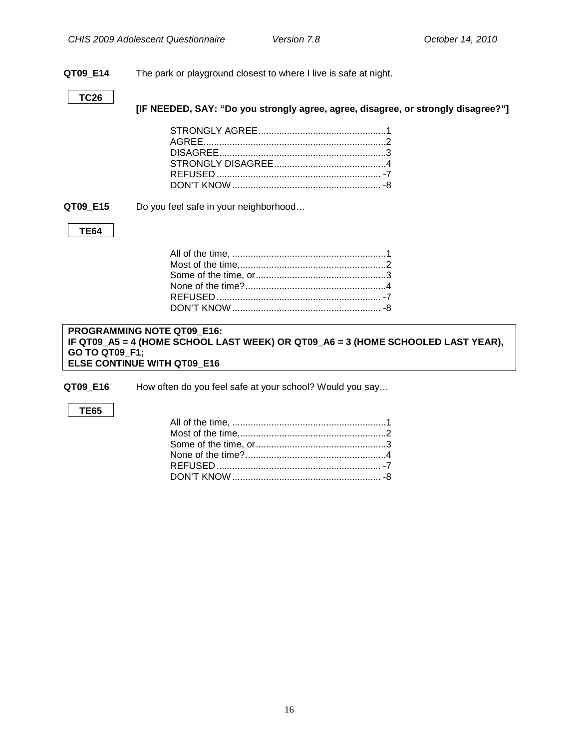#### **QT09\_E14** The park or playground closest to where I live is safe at night.

#### **TC26**

**[IF NEEDED, SAY: "Do you strongly agree, agree, disagree, or strongly disagree?"]**

**QT09\_E15** Do you feel safe in your neighborhood…

#### **TE64**

#### **PROGRAMMING NOTE QT09\_E16: IF QT09\_A5 = 4 (HOME SCHOOL LAST WEEK) OR QT09\_A6 = 3 (HOME SCHOOLED LAST YEAR), GO TO QT09\_F1; ELSE CONTINUE WITH QT09\_E16**

**QT09\_E16** How often do you feel safe at your school? Would you say…

#### **TE65**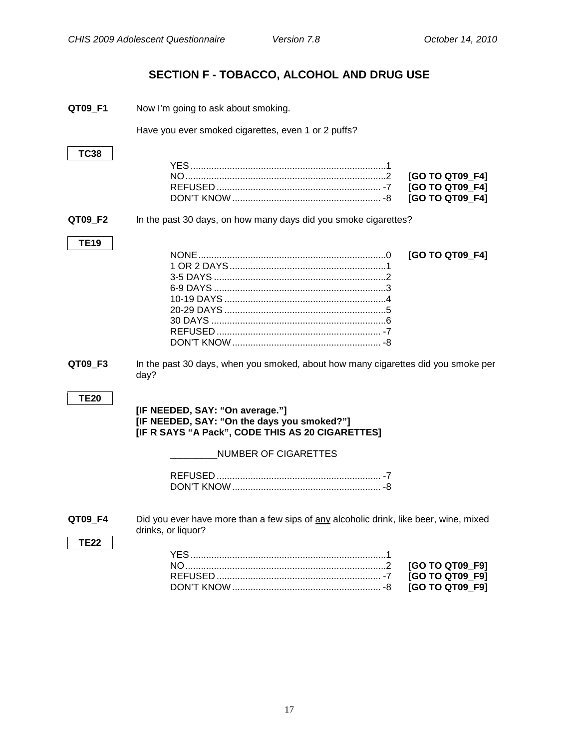## **SECTION F - TOBACCO, ALCOHOL AND DRUG USE**

<span id="page-19-1"></span><span id="page-19-0"></span>

| QT09_F1                | Now I'm going to ask about smoking.                                                                                                                        |
|------------------------|------------------------------------------------------------------------------------------------------------------------------------------------------------|
|                        | Have you ever smoked cigarettes, even 1 or 2 puffs?                                                                                                        |
| <b>TC38</b>            | [GO TO QT09_F4]<br>[GO TO QT09_F4]<br>[GO TO QT09_F4]                                                                                                      |
| QT09_F2                | In the past 30 days, on how many days did you smoke cigarettes?                                                                                            |
| <b>TE19</b>            | [GO TO QT09_F4]                                                                                                                                            |
| QT09_F3                | In the past 30 days, when you smoked, about how many cigarettes did you smoke per<br>day?                                                                  |
| <b>TE20</b>            | [IF NEEDED, SAY: "On average."]<br>[IF NEEDED, SAY: "On the days you smoked?"]<br>[IF R SAYS "A Pack", CODE THIS AS 20 CIGARETTES]<br>NUMBER OF CIGARETTES |
|                        |                                                                                                                                                            |
| QT09_F4<br><b>TE22</b> | Did you ever have more than a few sips of any alcoholic drink, like beer, wine, mixed<br>drinks, or liquor?<br>[GO TO QT09_F9]                             |
|                        | [GO TO QT09_F9]                                                                                                                                            |

<span id="page-19-2"></span>DON'T KNOW......................................................... -8 **[GO TO QT09\_F9]**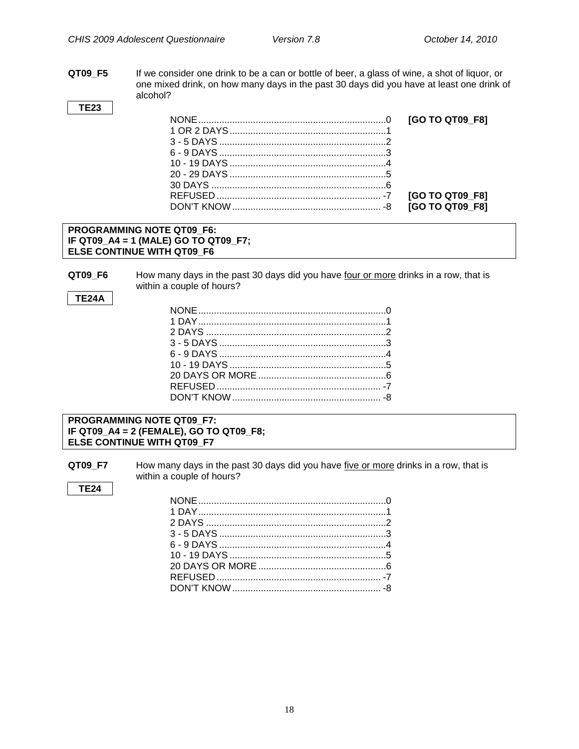**QT09\_F5** If we consider one drink to be a can or bottle of beer, a glass of wine, a shot of liquor, or one mixed drink, on how many days in the past 30 days did you have at least one drink of alcohol?

**TE23**

#### **PROGRAMMING NOTE QT09\_F6: IF QT09\_A4 = 1 (MALE) GO TO QT09\_F7; ELSE CONTINUE WITH QT09\_F6**

**QT09\_F6** How many days in the past 30 days did you have <u>four or more</u> drinks in a row, that is within a couple of hours?

#### **TE24A**

#### **PROGRAMMING NOTE QT09\_F7: IF QT09\_A4 = 2 (FEMALE), GO TO QT09\_F8; ELSE CONTINUE WITH QT09\_F7**

**QT09\_F7** How many days in the past 30 days did you have five or more drinks in a row, that is within a couple of hours?

#### **TE24**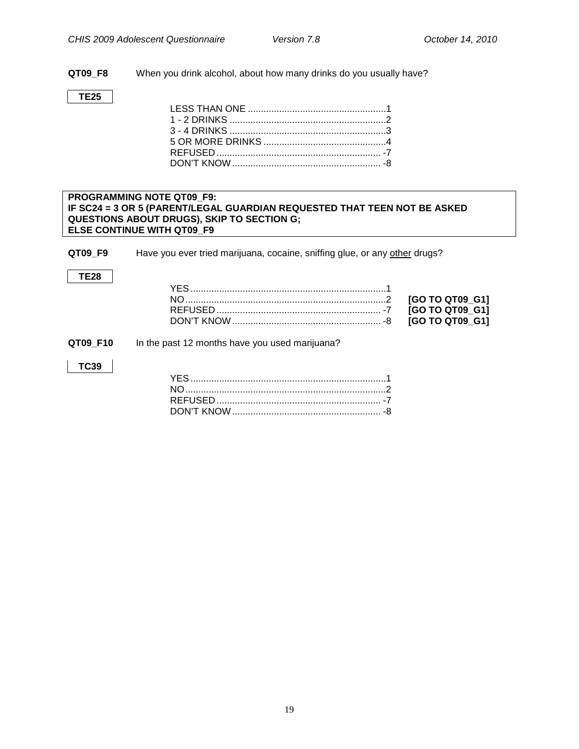**QT09\_F8** When you drink alcohol, about how many drinks do you usually have?

#### **TE25**

#### <span id="page-21-0"></span>**PROGRAMMING NOTE QT09\_F9: IF SC24 = 3 OR 5 (PARENT/LEGAL GUARDIAN REQUESTED THAT TEEN NOT BE ASKED QUESTIONS ABOUT DRUGS), SKIP TO SECTION G; ELSE CONTINUE WITH QT09\_F9**

**QT09\_F9** Have you ever tried marijuana, cocaine, sniffing glue, or any other drugs?

#### **TE28**

| <b>IGO TO QT09 G11</b> |  |
|------------------------|--|
|                        |  |

#### **QT09\_F10** In the past 12 months have you used marijuana?

#### **TC39**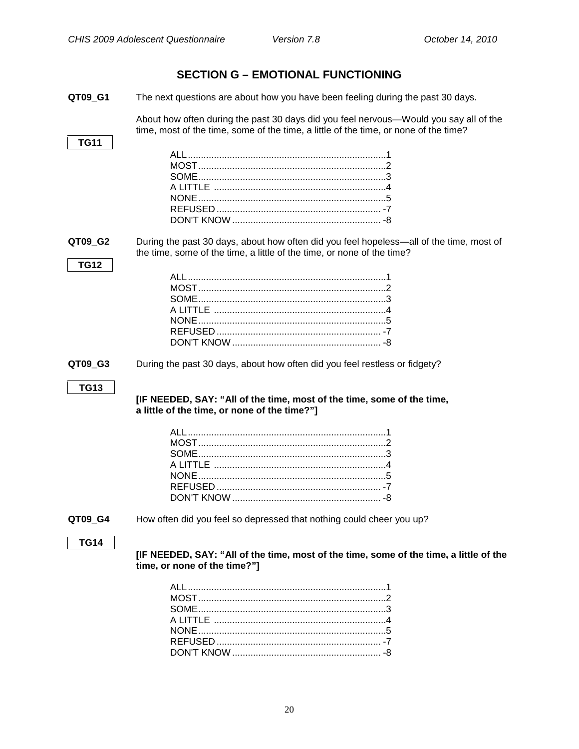## <span id="page-22-0"></span>**SECTION G – EMOTIONAL FUNCTIONING QT09 G1** The next questions are about how you have been feeling during the past 30 days. About how often during the past 30 days did you feel nervous—Would you say all of the time, most of the time, some of the time, a little of the time, or none of the time? **TG11** ALL............................................................................1 MOST........................................................................2 SOME........................................................................3 A LITTLE ..................................................................4 NONE........................................................................5 REFUSED ............................................................... -7 DON'T KNOW ......................................................... -8 **QT09 G2** During the past 30 days, about how often did you feel hopeless—all of the time, most of the time, some of the time, a little of the time, or none of the time? **TG12** ALL............................................................................1 MOST........................................................................2 SOME........................................................................3 A LITTLE ..................................................................4 NONE........................................................................5 REFUSED ............................................................... -7 DON'T KNOW ......................................................... -8 **QT09\_G3** During the past 30 days, about how often did you feel restless or fidgety? **TG13 [IF NEEDED, SAY: "All of the time, most of the time, some of the time, a little of the time, or none of the time?"]** ALL............................................................................1 MOST........................................................................2 SOME........................................................................3 A LITTLE ..................................................................4 NONE........................................................................5 REFUSED ............................................................... -7 DON'T KNOW ......................................................... -8 **QT09\_G4** How often did you feel so depressed that nothing could cheer you up? **TG14 [IF NEEDED, SAY: "All of the time, most of the time, some of the time, a little of the time, or none of the time?"]** ALL............................................................................1 MOST........................................................................2 SOME........................................................................3 A LITTLE ..................................................................4 NONE........................................................................5 REFUSED ............................................................... -7 DON'T KNOW ......................................................... -8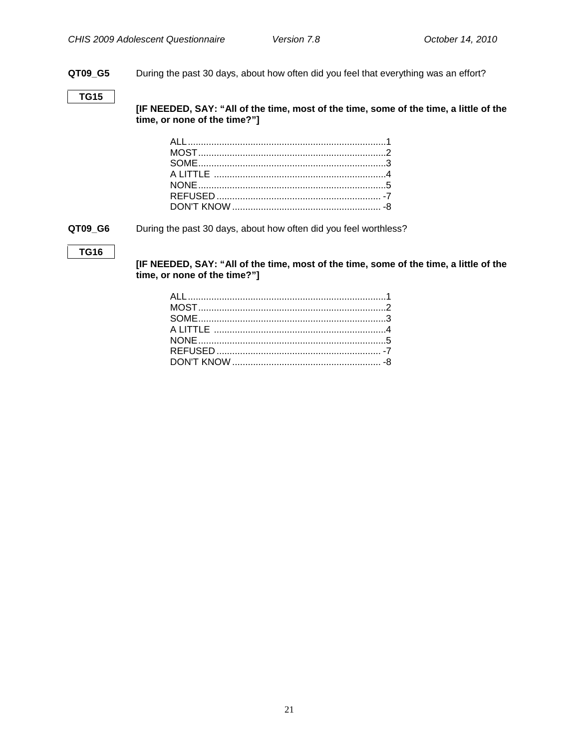**QT09\_G5** During the past 30 days, about how often did you feel that everything was an effort?

#### **TG15**

**[IF NEEDED, SAY: "All of the time, most of the time, some of the time, a little of the time, or none of the time?"]**

**QT09\_G6** During the past 30 days, about how often did you feel worthless?

#### **TG16**

**[IF NEEDED, SAY: "All of the time, most of the time, some of the time, a little of the time, or none of the time?"]**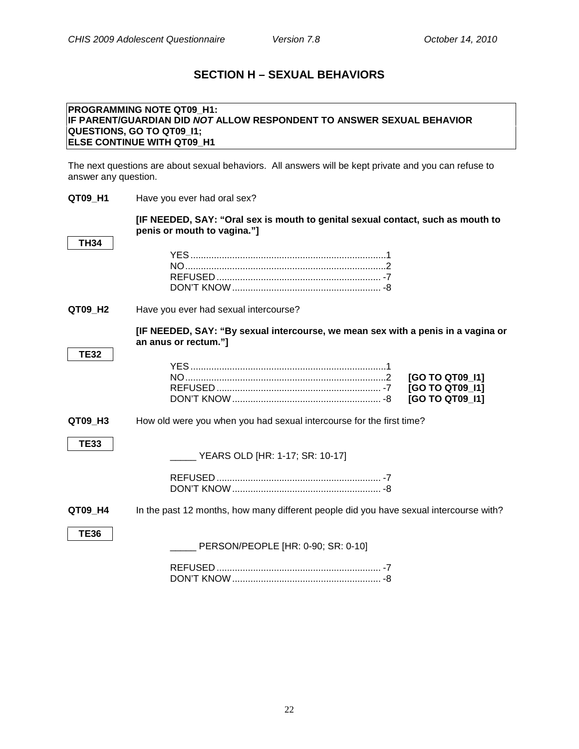<span id="page-24-1"></span><span id="page-24-0"></span>**Sexual Behavior**

## **SECTION H – SEXUAL BEHAVIORS**

#### **PROGRAMMING NOTE QT09\_H1: IF PARENT/GUARDIAN DID** *NOT* **ALLOW RESPONDENT TO ANSWER SEXUAL BEHAVIOR QUESTIONS, GO TO QT09\_I1; ELSE CONTINUE WITH QT09\_H1**

The next questions are about sexual behaviors. All answers will be kept private and you can refuse to answer any question.

| QT09 H1     | Have you ever had oral sex?                                                                                    |
|-------------|----------------------------------------------------------------------------------------------------------------|
|             | [IF NEEDED, SAY: "Oral sex is mouth to genital sexual contact, such as mouth to<br>penis or mouth to vagina."] |
| <b>TH34</b> |                                                                                                                |
| QT09 H2     | Have you ever had sexual intercourse?                                                                          |
|             | [IF NEEDED, SAY: "By sexual intercourse, we mean sex with a penis in a vagina or<br>an anus or rectum."]       |
| <b>TE32</b> |                                                                                                                |
|             | [GO TO QT09 11]<br>[GO TO QT09_I1]<br>[GO TO QT09 11]                                                          |
| QT09 H3     | How old were you when you had sexual intercourse for the first time?                                           |
| <b>TE33</b> | YEARS OLD [HR: 1-17; SR: 10-17]                                                                                |
| QT09 H4     | In the past 12 months, how many different people did you have sexual intercourse with?                         |
| <b>TE36</b> | PERSON/PEOPLE [HR: 0-90; SR: 0-10]                                                                             |
|             |                                                                                                                |

DON'T KNOW......................................................... -8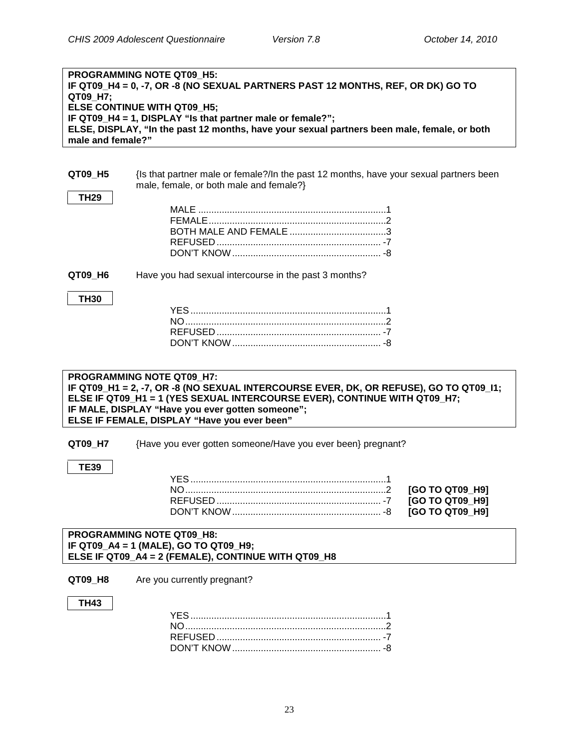| <b>PROGRAMMING NOTE QT09 H5:</b>                                                            |
|---------------------------------------------------------------------------------------------|
| IF QT09_H4 = 0, -7, OR -8 (NO SEXUAL PARTNERS PAST 12 MONTHS, REF, OR DK) GO TO             |
| QT09 H7;                                                                                    |
| <b>ELSE CONTINUE WITH QT09 H5;</b>                                                          |
| IF QT09 H4 = 1, DISPLAY "Is that partner male or female?";                                  |
| ELSE, DISPLAY, "In the past 12 months, have your sexual partners been male, female, or both |
| male and female?"                                                                           |
|                                                                                             |
|                                                                                             |

| QT09 H5     | {Is that partner male or female?/In the past 12 months, have your sexual partners been<br>male, female, or both male and female?} |
|-------------|-----------------------------------------------------------------------------------------------------------------------------------|
| <b>TH29</b> |                                                                                                                                   |
|             |                                                                                                                                   |
| QT09 H6     | Have you had sexual intercourse in the past 3 months?                                                                             |
| <b>TH30</b> |                                                                                                                                   |
|             | PROGRAMMING NOTE QT09 H7:<br>IF QT09_H1 = 2, -7, OR -8 (NO SEXUAL INTERCOURSE EVER, DK, OR REFUSE), GO TO QT09_I1;                |
|             | ELSE IF QT09_H1 = 1 (YES SEXUAL INTERCOURSE EVER), CONTINUE WITH QT09_H7;                                                         |
|             | IF MALE, DISPLAY "Have you ever gotten someone";                                                                                  |
|             | ELSE IF FEMALE, DISPLAY "Have you ever been"                                                                                      |
| QT09_H7     | {Have you ever gotten someone/Have you ever been} pregnant?                                                                       |

#### **PROGRAMMING NOTE QT09\_H8: IF QT09\_A4 = 1 (MALE), GO TO QT09\_H9; ELSE IF QT09\_A4 = 2 (FEMALE), CONTINUE WITH QT09\_H8**

#### **QT09\_H8** Are you currently pregnant?

#### **TH43**

<span id="page-25-0"></span>**TE39**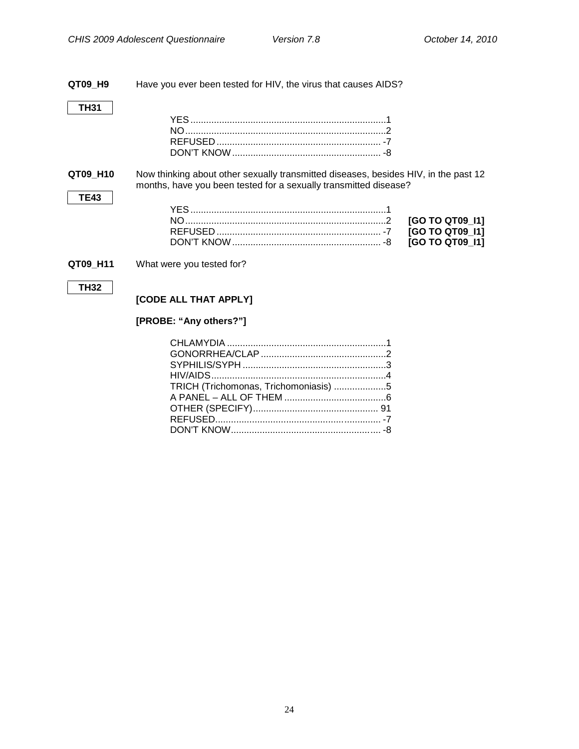<span id="page-26-0"></span>**QT09\_H9** Have you ever been tested for HIV, the virus that causes AIDS? **TH31** YES...........................................................................1 NO.............................................................................2 REFUSED ............................................................... -7 DON'T KNOW......................................................... -8 **QT09 H10** Now thinking about other sexually transmitted diseases, besides HIV, in the past 12 months, have you been tested for a sexually transmitted disease? **TE43** YES...........................................................................1 NO.............................................................................2 **[GO TO QT09\_I1]** REFUSED ............................................................... -7 **[GO TO QT09\_I1]** DON'T KNOW......................................................... -8 **[GO TO QT09\_I1] QT09\_H11** What were you tested for? **TH32 [CODE ALL THAT APPLY]**

#### **[PROBE: "Any others?"]**

| TRICH (Trichomonas, Trichomoniasis) 5 |  |
|---------------------------------------|--|
|                                       |  |
|                                       |  |
|                                       |  |
|                                       |  |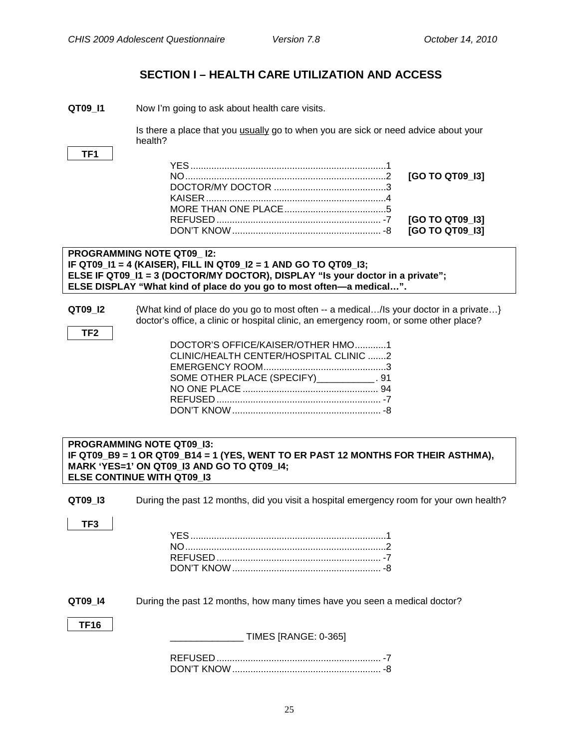## <span id="page-27-0"></span>**SECTION I – HEALTH CARE UTILIZATION AND ACCESS**

<span id="page-27-1"></span>**QT09\_I1** Now I'm going to ask about health care visits.

Is there a place that you **usually** go to when you are sick or need advice about your health?

**TF1**

#### **PROGRAMMING NOTE QT09\_ I2: IF QT09\_I1 = 4 (KAISER), FILL IN QT09\_I2 = 1 AND GO TO QT09\_I3; ELSE IF QT09\_I1 = 3 (DOCTOR/MY DOCTOR), DISPLAY "Is your doctor in a private"; ELSE DISPLAY "What kind of place do you go to most often—a medical…".**

**TF2**

**QT09\_I2** {What kind of place do you go to most often -- a medical.../Is your doctor in a private...} doctor's office, a clinic or hospital clinic, an emergency room, or some other place?

| DOCTOR'S OFFICE/KAISER/OTHER HMO1          |  |
|--------------------------------------------|--|
| CLINIC/HEALTH CENTER/HOSPITAL CLINIC 2     |  |
|                                            |  |
| SOME OTHER PLACE (SPECIFY)____________. 91 |  |
|                                            |  |
|                                            |  |
|                                            |  |
|                                            |  |

#### <span id="page-27-2"></span>**PROGRAMMING NOTE QT09\_I3: Emergency Room (General) IF QT09\_B9 = 1 OR QT09\_B14 = 1 (YES, WENT TO ER PAST 12 MONTHS FOR THEIR ASTHMA), MARK 'YES=1' ON QT09\_I3 AND GO TO QT09\_I4; ELSE CONTINUE WITH QT09\_I3**

**QT09 I3** During the past 12 months, did you visit a hospital emergency room for your own health?

| v<br>× |
|--------|
|--------|

<span id="page-27-3"></span>**QT09\_I4** During the past 12 months, how many times have you seen a medical doctor?

| ٩<br>٠ |
|--------|
|--------|

\_\_\_\_\_\_\_\_\_\_\_\_\_\_ TIMES [RANGE: 0-365]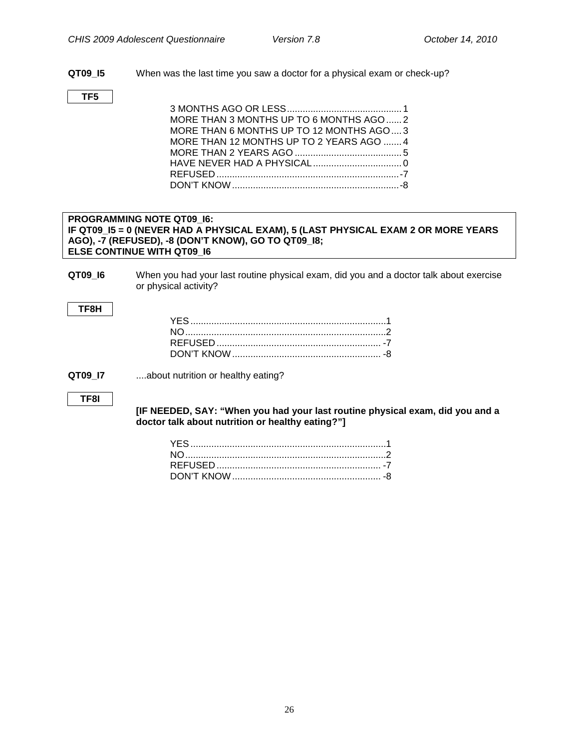- **QT09\_I5** When was the last time you saw a doctor for a physical exam or check-up?
- **TF5**
- 3 MONTHS AGO OR LESS............................................ 1 MORE THAN 3 MONTHS UP TO 6 MONTHS AGO...... 2 MORE THAN 6 MONTHS UP TO 12 MONTHS AGO.... 3 MORE THAN 12 MONTHS UP TO 2 YEARS AGO ....... 4 MORE THAN 2 YEARS AGO ......................................... 5 HAVE NEVER HAD A PHYSICAL.................................. 0 REFUSED ......................................................................-7 DON'T KNOW................................................................-8

#### <span id="page-28-0"></span>**PROGRAMMING NOTE QT09\_I6: Recall of Provider Advice IF QT09\_I5 = 0 (NEVER HAD A PHYSICAL EXAM), 5 (LAST PHYSICAL EXAM 2 OR MORE YEARS AGO), -7 (REFUSED), -8 (DON'T KNOW), GO TO QT09\_I8; ELSE CONTINUE WITH QT09\_I6**

**QT09\_I6** When you had your last routine physical exam, did you and a doctor talk about exercise or physical activity?

#### **TF8H**

**QT09 I7** ....about nutrition or healthy eating?

**TF8I**

**[IF NEEDED, SAY: "When you had your last routine physical exam, did you and a doctor talk about nutrition or healthy eating?"]**

<span id="page-28-1"></span>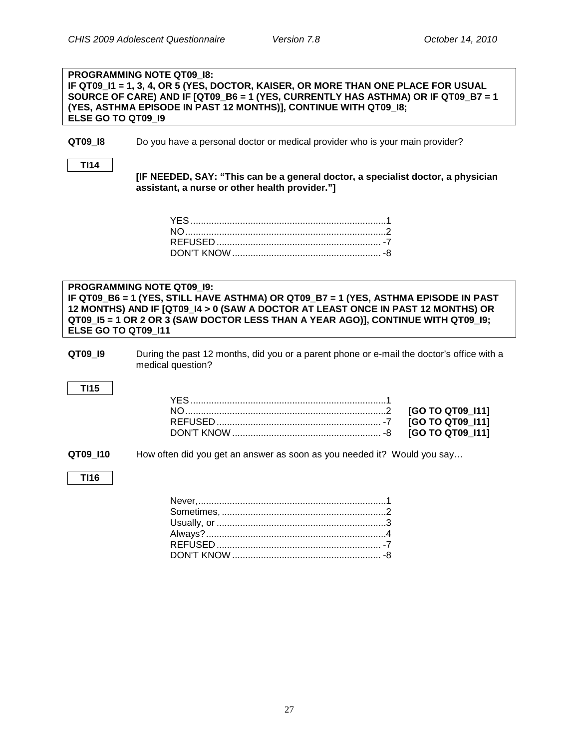<span id="page-29-0"></span>**Patient-Centered Care: Information**

#### **PROGRAMMING NOTE QT09\_I8: IF QT09\_I1 = 1, 3, 4, OR 5 (YES, DOCTOR, KAISER, OR MORE THAN ONE PLACE FOR USUAL SOURCE OF CARE) AND IF [QT09\_B6 = 1 (YES, CURRENTLY HAS ASTHMA) OR IF QT09\_B7 = 1 (YES, ASTHMA EPISODE IN PAST 12 MONTHS)], CONTINUE WITH QT09\_I8; ELSE GO TO QT09\_I9**

**QT09 I8** Do you have a personal doctor or medical provider who is your main provider?

**TI14**

**[IF NEEDED, SAY: "This can be a general doctor, a specialist doctor, a physician assistant, a nurse or other health provider."]**

#### **PROGRAMMING NOTE QT09\_I9: IF QT09\_B6 = 1 (YES, STILL HAVE ASTHMA) OR QT09\_B7 = 1 (YES, ASTHMA EPISODE IN PAST 12 MONTHS) AND IF [QT09\_I4 > 0 (SAW A DOCTOR AT LEAST ONCE IN PAST 12 MONTHS) OR QT09\_I5 = 1 OR 2 OR 3 (SAW DOCTOR LESS THAN A YEAR AGO)], CONTINUE WITH QT09\_I9; ELSE GO TO QT09\_I11**

**QT09\_I9** During the past 12 months, did you or a parent phone or e-mail the doctor's office with a medical question?

#### **TI15**

**QT09 I10** How often did you get an answer as soon as you needed it? Would you say...

#### **TI16**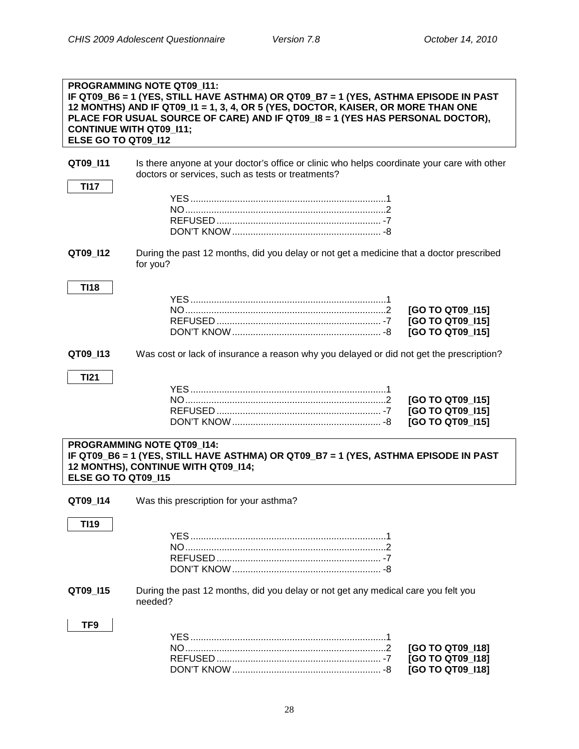<span id="page-30-0"></span>**Care Coordination**

<span id="page-30-1"></span>

| ELSE GO TO QT09 112                                                                                                                                                                    | <b>PROGRAMMING NOTE QT09 111:</b><br>IF QT09_B6 = 1 (YES, STILL HAVE ASTHMA) OR QT09_B7 = 1 (YES, ASTHMA EPISODE IN PAST<br>12 MONTHS) AND IF QT09_I1 = 1, 3, 4, OR 5 (YES, DOCTOR, KAISER, OR MORE THAN ONE<br>PLACE FOR USUAL SOURCE OF CARE) AND IF QT09_18 = 1 (YES HAS PERSONAL DOCTOR),<br><b>CONTINUE WITH QT09_I11;</b> |  |
|----------------------------------------------------------------------------------------------------------------------------------------------------------------------------------------|---------------------------------------------------------------------------------------------------------------------------------------------------------------------------------------------------------------------------------------------------------------------------------------------------------------------------------|--|
| QT09_I11<br><b>TI17</b>                                                                                                                                                                | Is there anyone at your doctor's office or clinic who helps coordinate your care with other<br>doctors or services, such as tests or treatments?                                                                                                                                                                                |  |
|                                                                                                                                                                                        |                                                                                                                                                                                                                                                                                                                                 |  |
| QT09_I12                                                                                                                                                                               | During the past 12 months, did you delay or not get a medicine that a doctor prescribed<br>for you?                                                                                                                                                                                                                             |  |
| <b>TI18</b>                                                                                                                                                                            | [GO TO QT09_I15]<br>[GO TO QT09_I15]<br>[GO TO QT09_I15]                                                                                                                                                                                                                                                                        |  |
| QT09_I13                                                                                                                                                                               | Was cost or lack of insurance a reason why you delayed or did not get the prescription?                                                                                                                                                                                                                                         |  |
| <b>TI21</b>                                                                                                                                                                            | [GO TO QT09_I15]<br>[GO TO QT09_I15]<br>[GO TO QT09 115]                                                                                                                                                                                                                                                                        |  |
| <b>PROGRAMMING NOTE QT09 114:</b><br>IF QT09_B6 = 1 (YES, STILL HAVE ASTHMA) OR QT09_B7 = 1 (YES, ASTHMA EPISODE IN PAST<br>12 MONTHS), CONTINUE WITH QT09 114;<br>ELSE GO TO QT09_I15 |                                                                                                                                                                                                                                                                                                                                 |  |
| QT09_I14                                                                                                                                                                               | Was this prescription for your asthma?                                                                                                                                                                                                                                                                                          |  |
| TI19                                                                                                                                                                                   |                                                                                                                                                                                                                                                                                                                                 |  |
| QT09_I15                                                                                                                                                                               | During the past 12 months, did you delay or not get any medical care you felt you<br>needed?                                                                                                                                                                                                                                    |  |
| TF9                                                                                                                                                                                    | [GO TO QT09_I18]<br>[GO TO QT09_I18]<br>[GO TO QT09_I18]                                                                                                                                                                                                                                                                        |  |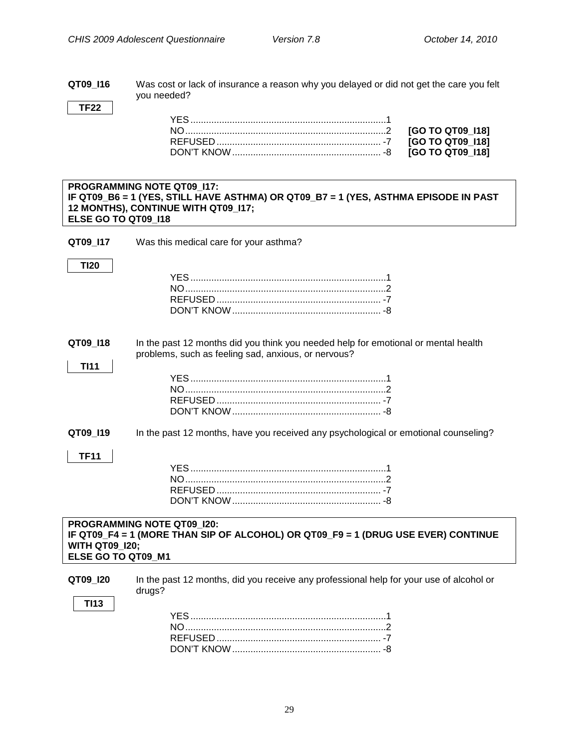**QT09\_I16** Was cost or lack of insurance a reason why you delayed or did not get the care you felt you needed?

**TF22**

**TI20**

#### **PROGRAMMING NOTE QT09\_I17: IF QT09\_B6 = 1 (YES, STILL HAVE ASTHMA) OR QT09\_B7 = 1 (YES, ASTHMA EPISODE IN PAST 12 MONTHS), CONTINUE WITH QT09\_I17; ELSE GO TO QT09\_I18**

**QT09 I17** Was this medical care for your asthma?

## YES...........................................................................1 NO.............................................................................2 REFUSED ............................................................... -7 DON'T KNOW......................................................... -8

<span id="page-31-0"></span>**QT09\_I18** In the past 12 months did you think you needed help for emotional or mental health problems, such as feeling sad, anxious, or nervous?

**QT09\_I19** In the past 12 months, have you received any psychological or emotional counseling?

#### **TF11**

**TI11**

#### **PROGRAMMING NOTE QT09\_I20: IF QT09\_F4 = 1 (MORE THAN SIP OF ALCOHOL) OR QT09\_F9 = 1 (DRUG USE EVER) CONTINUE WITH QT09\_I20; ELSE GO TO QT09\_M1**

| QT09 120    | In the past 12 months, did you receive any professional help for your use of alcohol or<br>druas? |
|-------------|---------------------------------------------------------------------------------------------------|
| <b>TI13</b> | <b>YES</b><br>. The contract of the contract of $\sim$ 100 $\pm$ 100 $\pm$ 100 $\pm$              |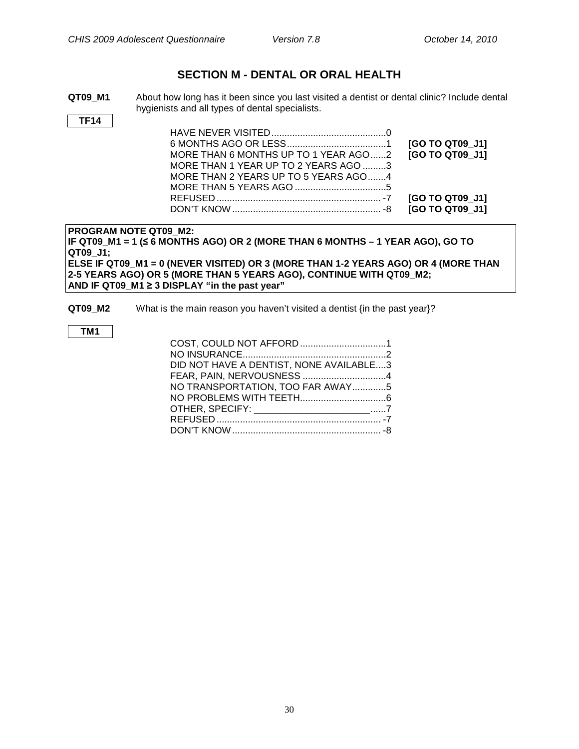## **SECTION M - DENTAL OR ORAL HEALTH**

<span id="page-32-0"></span>**QT09\_M1** About how long has it been since you last visited a dentist or dental clinic? Include dental hygienists and all types of dental specialists.

**TF14**

|                                      | [GO TO QT09 J1] |
|--------------------------------------|-----------------|
| MORE THAN 6 MONTHS UP TO 1 YEAR AGO2 | [GO TO QT09 J1] |
| MORE THAN 1 YEAR UP TO 2 YEARS AGO 3 |                 |
| MORE THAN 2 YEARS UP TO 5 YEARS AGO4 |                 |
|                                      |                 |
|                                      |                 |
|                                      |                 |

#### **PROGRAM NOTE QT09\_M2:**

**IF QT09\_M1 = 1 (≤ 6 MONTHS AGO) OR 2 (MORE THAN 6 MONTHS – 1 YEAR AGO), GO TO QT09\_J1; ELSE IF QT09\_M1 = 0 (NEVER VISITED) OR 3 (MORE THAN 1-2 YEARS AGO) OR 4 (MORE THAN 2-5 YEARS AGO) OR 5 (MORE THAN 5 YEARS AGO), CONTINUE WITH QT09\_M2;**

**AND IF QT09\_M1 ≥ 3 DISPLAY "in the past year"**

**QT09\_M2** What is the main reason you haven't visited a dentist {in the past year}?

#### **TM1**

| COST, COULD NOT AFFORD1                    |  |
|--------------------------------------------|--|
|                                            |  |
| DID NOT HAVE A DENTIST, NONE AVAILABLE3    |  |
| FEAR, PAIN, NERVOUSNESS 4                  |  |
| NO TRANSPORTATION, TOO FAR AWAY5           |  |
|                                            |  |
| OTHER, SPECIFY: _________________________7 |  |
|                                            |  |
|                                            |  |
|                                            |  |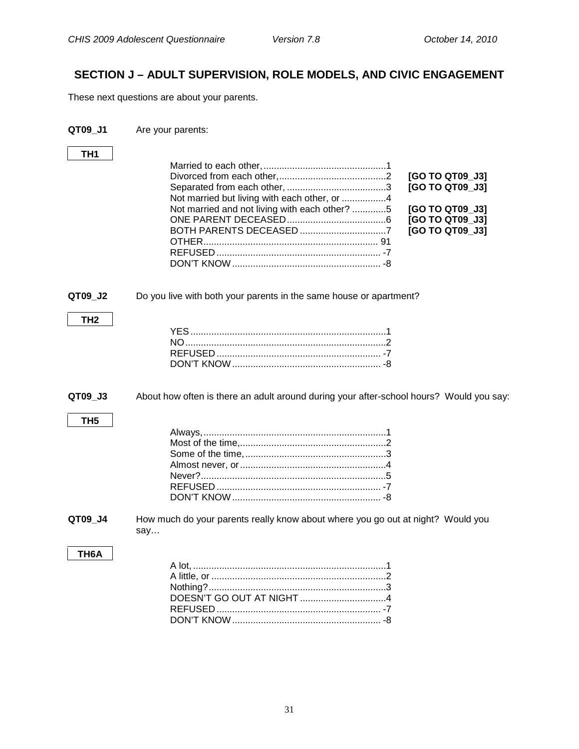## <span id="page-33-0"></span>**SECTION J – ADULT SUPERVISION, ROLE MODELS, AND CIVIC ENGAGEMENT**

These next questions are about your parents.

<span id="page-33-1"></span>

| QT09_J1 | Are your parents: |
|---------|-------------------|
|         |                   |

<span id="page-33-2"></span>**TH1** Married to each other,...............................................1 Divorced from each other,.........................................2 **[GO TO QT09\_J3]** Separated from each other, ......................................3 **[GO TO QT09\_J3]** Not married but living with each other, or .................4 Not married and not living with each other? .............5 **[GO TO QT09\_J3]** ONE PARENT DECEASED......................................6 **[GO TO QT09\_J3]** BOTH PARENTS DECEASED .................................7 **[GO TO QT09\_J3]** OTHER................................................................... 91 REFUSED ............................................................... -7 DON'T KNOW......................................................... -8 **QT09\_J2** Do you live with both your parents in the same house or apartment? **TH2** YES...........................................................................1 NO.............................................................................2 REFUSED ............................................................... -7 DON'T KNOW......................................................... -8 **QT09 J3** About how often is there an adult around during your after-school hours? Would you say: **TH5** Always,......................................................................1 Most of the time,........................................................2 Some of the time,......................................................3 Almost never, or........................................................4 Never?.......................................................................5 REFUSED ............................................................... -7 DON'T KNOW......................................................... -8 **QT09\_J4** How much do your parents really know about where you go out at night? Would you say… **TH6A** A lot, ..........................................................................1 A little, or ...................................................................2 Nothing?....................................................................3 DOESN'T GO OUT AT NIGHT .................................4 REFUSED ............................................................... -7

DON'T KNOW......................................................... -8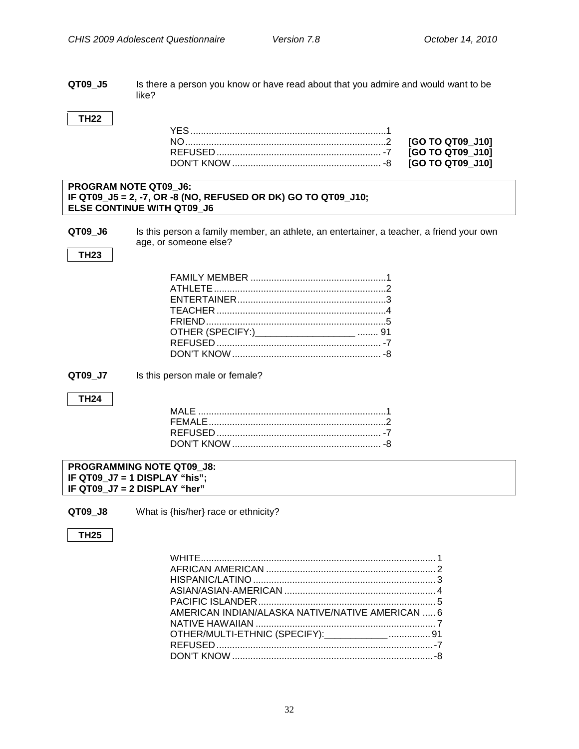#### <span id="page-34-0"></span>**QT09\_J5** Is there a person you know or have read about that you admire and would want to be like?

#### **TH22**

#### **PROGRAM NOTE QT09\_J6: IF QT09\_J5 = 2, -7, OR -8 (NO, REFUSED OR DK) GO TO QT09\_J10; ELSE CONTINUE WITH QT09\_J6**

**QT09\_J6** Is this person a family member, an athlete, an entertainer, a teacher, a friend your own age, or someone else?

#### **TH23**

| OTHER (SPECIFY:)______________________  91 |  |
|--------------------------------------------|--|
|                                            |  |
|                                            |  |

**QT09 J7** Is this person male or female?

#### **TH24**

#### **PROGRAMMING NOTE QT09\_J8: IF QT09\_J7 = 1 DISPLAY "his"; IF QT09\_J7 = 2 DISPLAY "her"**

**QT09\_J8** What is {his/her} race or ethnicity?

#### **TH25**

| AMERICAN INDIAN/ALASKA NATIVE/NATIVE AMERICAN  6 |  |
|--------------------------------------------------|--|
|                                                  |  |
| OTHER/MULTI-ETHNIC (SPECIFY):_____________ 91    |  |
|                                                  |  |
|                                                  |  |
|                                                  |  |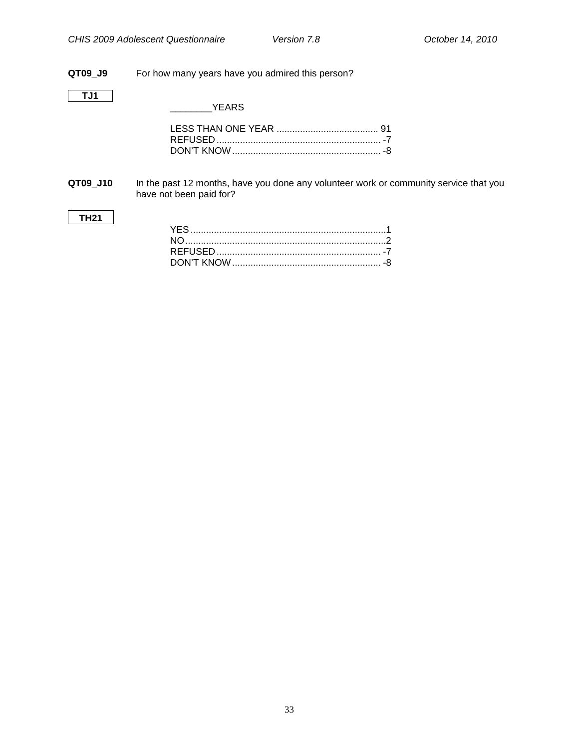#### **QT09\_J9** For how many years have you admired this person?

#### **TJ1**

**TH21**

\_\_\_\_\_\_\_\_YEARS

<span id="page-35-0"></span>**QT09\_J10** In the past 12 months, have you done any volunteer work or community service that you have not been paid for?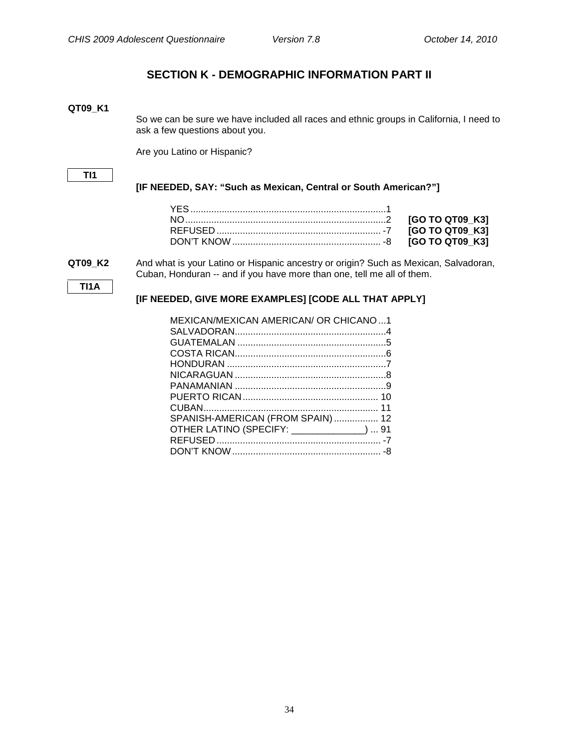## **SECTION K - DEMOGRAPHIC INFORMATION PART II**

#### <span id="page-36-1"></span><span id="page-36-0"></span>**QT09\_K1**

So we can be sure we have included all races and ethnic groups in California, I need to ask a few questions about you.

Are you Latino or Hispanic?

#### **TI1**

#### **[IF NEEDED, SAY: "Such as Mexican, Central or South American?"]**

**TI1A**

**QT09\_K2** And what is your Latino or Hispanic ancestry or origin? Such as Mexican, Salvadoran, Cuban, Honduran -- and if you have more than one, tell me all of them.

#### **[IF NEEDED, GIVE MORE EXAMPLES] [CODE ALL THAT APPLY]**

| MEXICAN/MEXICAN AMERICAN/ OR CHICANO1      |  |
|--------------------------------------------|--|
|                                            |  |
|                                            |  |
|                                            |  |
|                                            |  |
|                                            |  |
|                                            |  |
|                                            |  |
|                                            |  |
| SPANISH-AMERICAN (FROM SPAIN) 12           |  |
| OTHER LATINO (SPECIFY: ______________)  91 |  |
|                                            |  |
|                                            |  |
|                                            |  |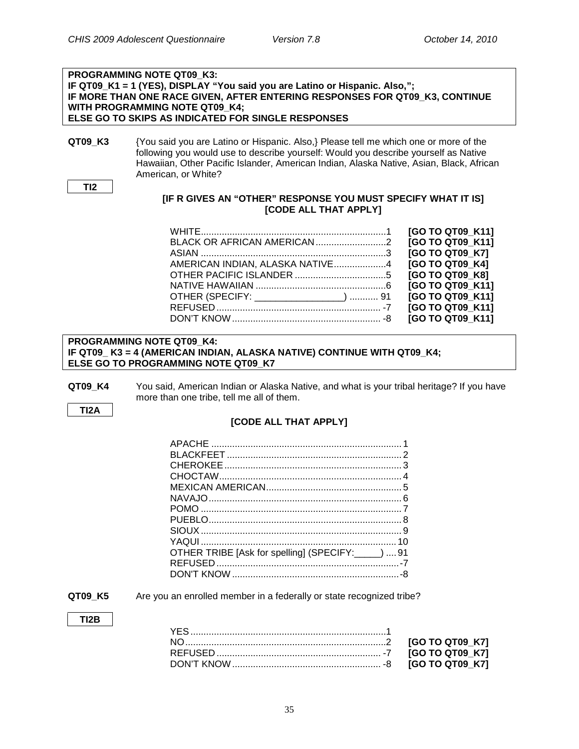#### **PROGRAMMING NOTE QT09\_K3: IF QT09\_K1 = 1 (YES), DISPLAY "You said you are Latino or Hispanic. Also,"; IF MORE THAN ONE RACE GIVEN, AFTER ENTERING RESPONSES FOR QT09\_K3, CONTINUE WITH PROGRAMMING NOTE QT09\_K4; ELSE GO TO SKIPS AS INDICATED FOR SINGLE RESPONSES**

**QT09 K3** {You said you are Latino or Hispanic. Also,} Please tell me which one or more of the following you would use to describe yourself: Would you describe yourself as Native Hawaiian, Other Pacific Islander, American Indian, Alaska Native, Asian, Black, African American, or White?

```
TI2
```
#### **[IF R GIVES AN "OTHER" RESPONSE YOU MUST SPECIFY WHAT IT IS] [CODE ALL THAT APPLY]**

|                                        | [GO TO QT09 K11] |
|----------------------------------------|------------------|
|                                        | [GO TO QT09 K11] |
|                                        | [GO TO QT09 K7]  |
| AMERICAN INDIAN, ALASKA NATIVE4        | [GO TO QT09 K4]  |
|                                        | [GO TO QT09 K8]  |
|                                        | [GO TO QT09 K11] |
| OTHER (SPECIFY: _________________)  91 | [GO TO QT09 K11] |
|                                        | [GO TO QT09 K11] |
|                                        | [GO TO QT09 K11] |

#### **PROGRAMMING NOTE QT09\_K4: IF QT09\_ K3 = 4 (AMERICAN INDIAN, ALASKA NATIVE) CONTINUE WITH QT09\_K4; ELSE GO TO PROGRAMMING NOTE QT09\_K7**

**QT09 K4** You said, American Indian or Alaska Native, and what is your tribal heritage? If you have more than one tribe, tell me all of them.

**TI2A**

#### **[CODE ALL THAT APPLY]**

| OTHER TRIBE [Ask for spelling] (SPECIFY: _____)  91 |  |
|-----------------------------------------------------|--|
|                                                     |  |
|                                                     |  |

**QT09 K5** Are you an enrolled member in a federally or state recognized tribe?

#### **TI2B**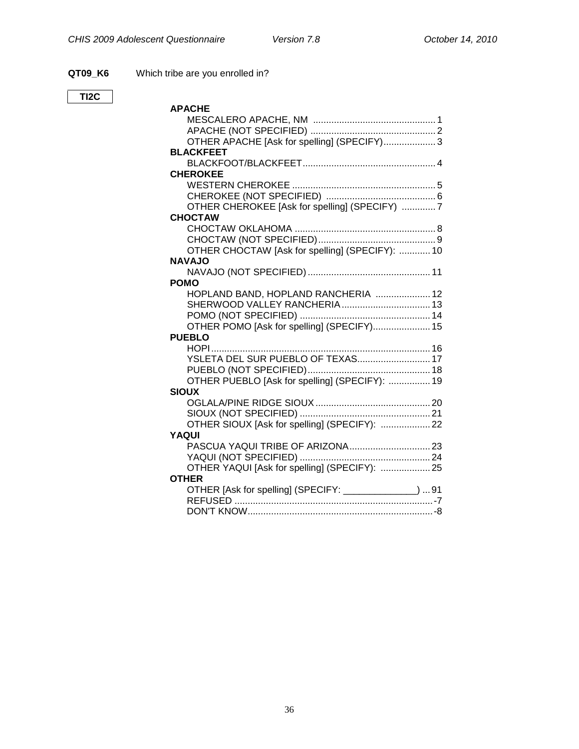**QT09\_K6** Which tribe are you enrolled in?

| OTHER APACHE [Ask for spelling] (SPECIFY) 3<br><b>BLACKFEET</b><br><b>CHEROKEE</b><br>OTHER CHEROKEE [Ask for spelling] (SPECIFY) 7<br><b>CHOCTAW</b><br>OTHER CHOCTAW [Ask for spelling] (SPECIFY):  10<br><b>NAVAJO</b><br><b>POMO</b><br>HOPLAND BAND, HOPLAND RANCHERIA  12<br>OTHER POMO [Ask for spelling] (SPECIFY) 15<br><b>PUEBLO</b><br>YSLETA DEL SUR PUEBLO OF TEXAS 17<br>OTHER PUEBLO [Ask for spelling] (SPECIFY):  19<br><b>SIOUX</b><br>OTHER SIOUX [Ask for spelling] (SPECIFY):  22<br>YAQUI |
|-----------------------------------------------------------------------------------------------------------------------------------------------------------------------------------------------------------------------------------------------------------------------------------------------------------------------------------------------------------------------------------------------------------------------------------------------------------------------------------------------------------------|
|                                                                                                                                                                                                                                                                                                                                                                                                                                                                                                                 |
|                                                                                                                                                                                                                                                                                                                                                                                                                                                                                                                 |
|                                                                                                                                                                                                                                                                                                                                                                                                                                                                                                                 |
|                                                                                                                                                                                                                                                                                                                                                                                                                                                                                                                 |
|                                                                                                                                                                                                                                                                                                                                                                                                                                                                                                                 |
|                                                                                                                                                                                                                                                                                                                                                                                                                                                                                                                 |
|                                                                                                                                                                                                                                                                                                                                                                                                                                                                                                                 |
|                                                                                                                                                                                                                                                                                                                                                                                                                                                                                                                 |
|                                                                                                                                                                                                                                                                                                                                                                                                                                                                                                                 |
|                                                                                                                                                                                                                                                                                                                                                                                                                                                                                                                 |
|                                                                                                                                                                                                                                                                                                                                                                                                                                                                                                                 |
|                                                                                                                                                                                                                                                                                                                                                                                                                                                                                                                 |
|                                                                                                                                                                                                                                                                                                                                                                                                                                                                                                                 |
|                                                                                                                                                                                                                                                                                                                                                                                                                                                                                                                 |
|                                                                                                                                                                                                                                                                                                                                                                                                                                                                                                                 |
|                                                                                                                                                                                                                                                                                                                                                                                                                                                                                                                 |
|                                                                                                                                                                                                                                                                                                                                                                                                                                                                                                                 |
|                                                                                                                                                                                                                                                                                                                                                                                                                                                                                                                 |
|                                                                                                                                                                                                                                                                                                                                                                                                                                                                                                                 |
|                                                                                                                                                                                                                                                                                                                                                                                                                                                                                                                 |
|                                                                                                                                                                                                                                                                                                                                                                                                                                                                                                                 |
|                                                                                                                                                                                                                                                                                                                                                                                                                                                                                                                 |
|                                                                                                                                                                                                                                                                                                                                                                                                                                                                                                                 |
|                                                                                                                                                                                                                                                                                                                                                                                                                                                                                                                 |
|                                                                                                                                                                                                                                                                                                                                                                                                                                                                                                                 |
|                                                                                                                                                                                                                                                                                                                                                                                                                                                                                                                 |
|                                                                                                                                                                                                                                                                                                                                                                                                                                                                                                                 |
|                                                                                                                                                                                                                                                                                                                                                                                                                                                                                                                 |
|                                                                                                                                                                                                                                                                                                                                                                                                                                                                                                                 |
|                                                                                                                                                                                                                                                                                                                                                                                                                                                                                                                 |
|                                                                                                                                                                                                                                                                                                                                                                                                                                                                                                                 |
|                                                                                                                                                                                                                                                                                                                                                                                                                                                                                                                 |
| OTHER YAQUI [Ask for spelling] (SPECIFY):  25                                                                                                                                                                                                                                                                                                                                                                                                                                                                   |
| <b>OTHER</b>                                                                                                                                                                                                                                                                                                                                                                                                                                                                                                    |
| OTHER [Ask for spelling] (SPECIFY: ______________)  91                                                                                                                                                                                                                                                                                                                                                                                                                                                          |
|                                                                                                                                                                                                                                                                                                                                                                                                                                                                                                                 |
|                                                                                                                                                                                                                                                                                                                                                                                                                                                                                                                 |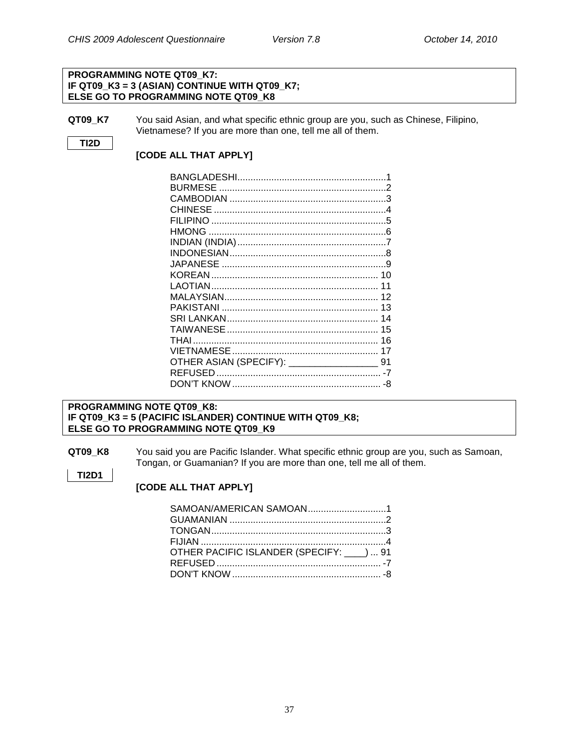#### **PROGRAMMING NOTE QT09\_K7: IF QT09\_K3 = 3 (ASIAN) CONTINUE WITH QT09\_K7; ELSE GO TO PROGRAMMING NOTE QT09\_K8**

**QT09\_K7** You said Asian, and what specific ethnic group are you, such as Chinese, Filipino, Vietnamese? If you are more than one, tell me all of them.

### **TI2D**

**TI2D1**

#### **[CODE ALL THAT APPLY]**

| <b>CHINESE</b>                          |    |
|-----------------------------------------|----|
|                                         |    |
|                                         |    |
|                                         |    |
|                                         |    |
|                                         |    |
|                                         |    |
|                                         |    |
|                                         |    |
|                                         |    |
|                                         |    |
|                                         | 15 |
|                                         |    |
|                                         |    |
| OTHER ASIAN (SPECIFY): ________________ | 91 |
|                                         |    |
|                                         | -8 |

#### **PROGRAMMING NOTE QT09\_K8: IF QT09\_K3 = 5 (PACIFIC ISLANDER) CONTINUE WITH QT09\_K8; ELSE GO TO PROGRAMMING NOTE QT09\_K9**

**QT09\_K8** You said you are Pacific Islander. What specific ethnic group are you, such as Samoan, Tongan, or Guamanian? If you are more than one, tell me all of them.

#### **[CODE ALL THAT APPLY]**

| SAMOAN/AMERICAN SAMOAN1                   |  |
|-------------------------------------------|--|
|                                           |  |
|                                           |  |
|                                           |  |
| OTHER PACIFIC ISLANDER (SPECIFY: ___)  91 |  |
|                                           |  |
|                                           |  |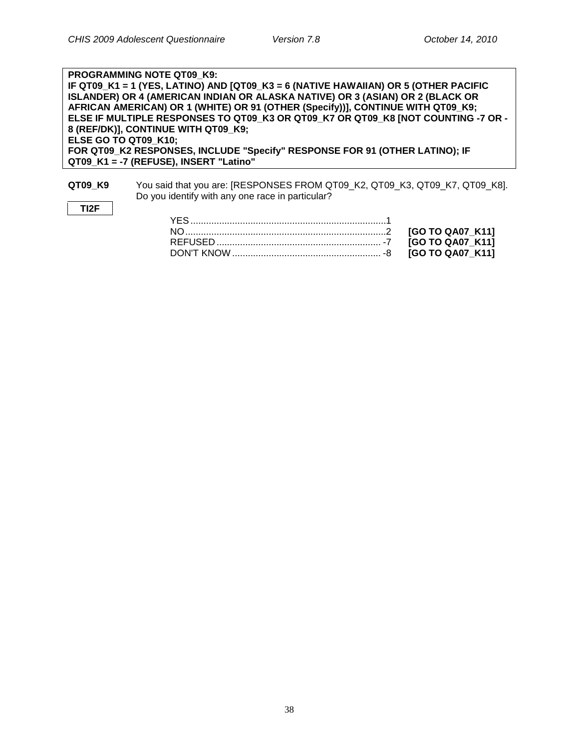**TI2F**

| <b>PROGRAMMING NOTE QT09 K9:</b>                                                    |
|-------------------------------------------------------------------------------------|
| IF QT09_K1 = 1 (YES, LATINO) AND [QT09_K3 = 6 (NATIVE HAWAIIAN) OR 5 (OTHER PACIFIC |
| ISLANDER) OR 4 (AMERICAN INDIAN OR ALASKA NATIVE) OR 3 (ASIAN) OR 2 (BLACK OR       |
| AFRICAN AMERICAN) OR 1 (WHITE) OR 91 (OTHER (Specify))], CONTINUE WITH QT09_K9;     |
| ELSE IF MULTIPLE RESPONSES TO QT09 K3 OR QT09 K7 OR QT09 K8 [NOT COUNTING -7 OR -   |
| 8 (REF/DK)], CONTINUE WITH QT09 K9;                                                 |
| ELSE GO TO QT09 K10;                                                                |
| FOR QT09 K2 RESPONSES, INCLUDE "Specify" RESPONSE FOR 91 (OTHER LATINO); IF         |
| QT09 K1 = -7 (REFUSE), INSERT "Latino"                                              |
|                                                                                     |

**QT09\_K9** You said that you are: [RESPONSES FROM QT09\_K2, QT09\_K3, QT09\_K7, QT09\_K8]. Do you identify with any one race in particular?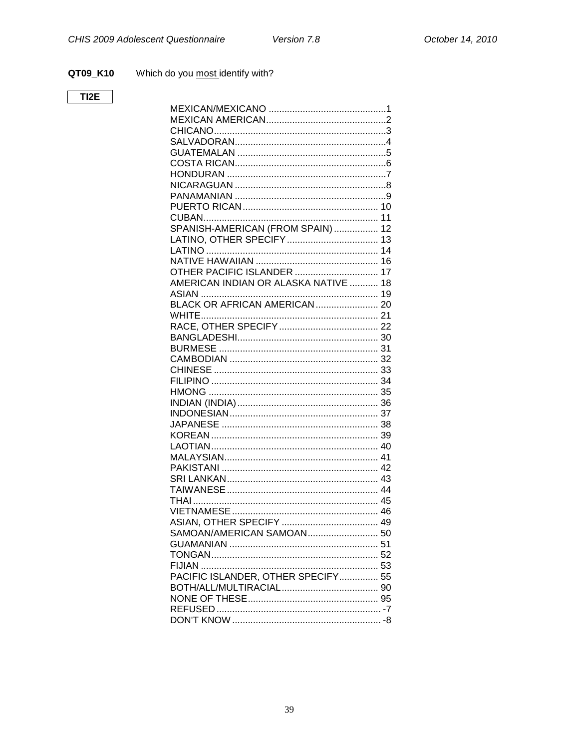QT09\_K10 Which do you most identify with?

## $TI2E$

| SPANISH-AMERICAN (FROM SPAIN)  12    |  |
|--------------------------------------|--|
|                                      |  |
|                                      |  |
|                                      |  |
| OTHER PACIFIC ISLANDER  17           |  |
| AMERICAN INDIAN OR ALASKA NATIVE  18 |  |
|                                      |  |
|                                      |  |
|                                      |  |
|                                      |  |
|                                      |  |
|                                      |  |
|                                      |  |
|                                      |  |
|                                      |  |
|                                      |  |
|                                      |  |
|                                      |  |
|                                      |  |
|                                      |  |
|                                      |  |
|                                      |  |
|                                      |  |
|                                      |  |
|                                      |  |
|                                      |  |
|                                      |  |
|                                      |  |
| SAMOAN/AMERICAN SAMOAN 50            |  |
|                                      |  |
|                                      |  |
|                                      |  |
| PACIFIC ISLANDER, OTHER SPECIFY 55   |  |
|                                      |  |
|                                      |  |
|                                      |  |
|                                      |  |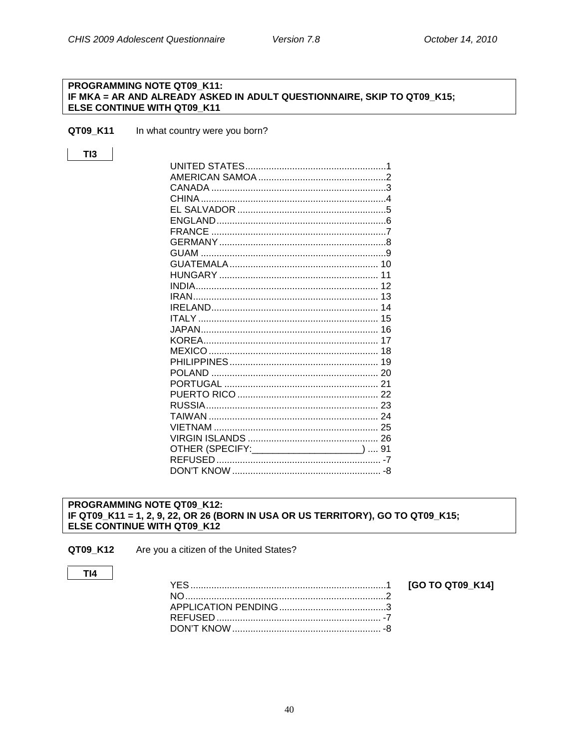[GO TO QT09\_K14]

#### <span id="page-42-0"></span>PROGRAMMING NOTE QT09\_K11: IF MKA = AR AND ALREADY ASKED IN ADULT QUESTIONNAIRE, SKIP TO QT09\_K15; ELSE CONTINUE WITH QT09\_K11

QT09\_K11 In what country were you born?

### $TI3$

| CHINA                                      |  |
|--------------------------------------------|--|
|                                            |  |
|                                            |  |
|                                            |  |
|                                            |  |
|                                            |  |
|                                            |  |
|                                            |  |
|                                            |  |
|                                            |  |
|                                            |  |
|                                            |  |
|                                            |  |
|                                            |  |
|                                            |  |
|                                            |  |
| POI AND                                    |  |
|                                            |  |
|                                            |  |
|                                            |  |
|                                            |  |
|                                            |  |
|                                            |  |
| OTHER (SPECIFY: _____________________)  91 |  |
|                                            |  |
|                                            |  |

#### <span id="page-42-1"></span>PROGRAMMING NOTE QT09\_K12: IF QT09\_K11 = 1, 2, 9, 22, OR 26 (BORN IN USA OR US TERRITORY), GO TO QT09\_K15; ELSE CONTINUE WITH QT09\_K12

Are you a citizen of the United States? QT09\_K12

#### $TI4$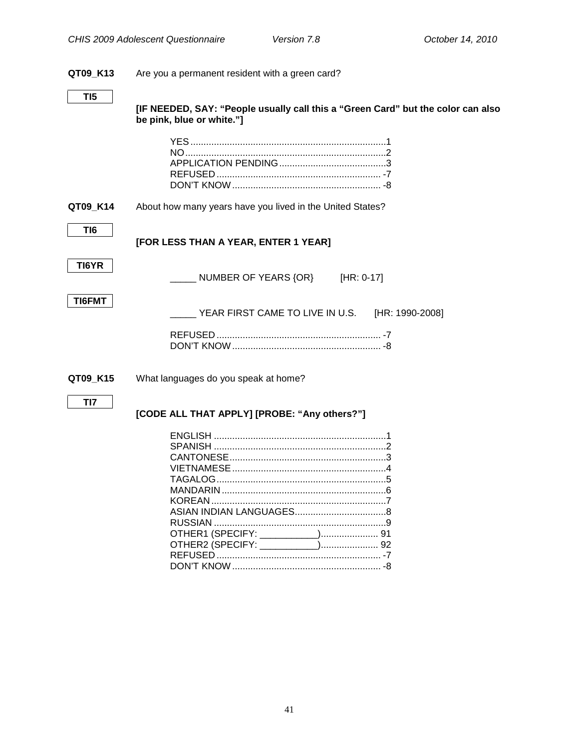## **QT09\_K13** Are you a permanent resident with a green card? **TI5 [IF NEEDED, SAY: "People usually call this a "Green Card" but the color can also be pink, blue or white."]** YES...........................................................................1 NO.............................................................................2 APPLICATION PENDING.........................................3 REFUSED ............................................................... -7 DON'T KNOW......................................................... -8 **QT09 K14** About how many years have you lived in the United States? **TI6 [FOR LESS THAN A YEAR, ENTER 1 YEAR] TI6YR** NUMBER OF YEARS {OR} [HR: 0-17] **TI6FMT** YEAR FIRST CAME TO LIVE IN U.S. [HR: 1990-2008] REFUSED ............................................................... -7 DON'T KNOW. **QT09\_K15** What languages do you speak at home? **TI7 [CODE ALL THAT APPLY] [PROBE: "Any others?"]** ENGLISH ..................................................................1 SPANISH ..................................................................2 CANTONESE............................................................3 VIETNAMESE...........................................................4 TAGALOG.................................................................5 MANDARIN ...............................................................6 KOREAN ...................................................................7 ASIAN INDIAN LANGUAGES...................................8 RUSSIAN ..................................................................9 OTHER1 (SPECIFY: \_\_\_\_\_\_\_\_\_\_\_)...................... 91 OTHER2 (SPECIFY: \_\_\_\_\_\_\_\_\_\_\_)...................... 92

<span id="page-43-0"></span>REFUSED ............................................................... -7 DON'T KNOW......................................................... -8